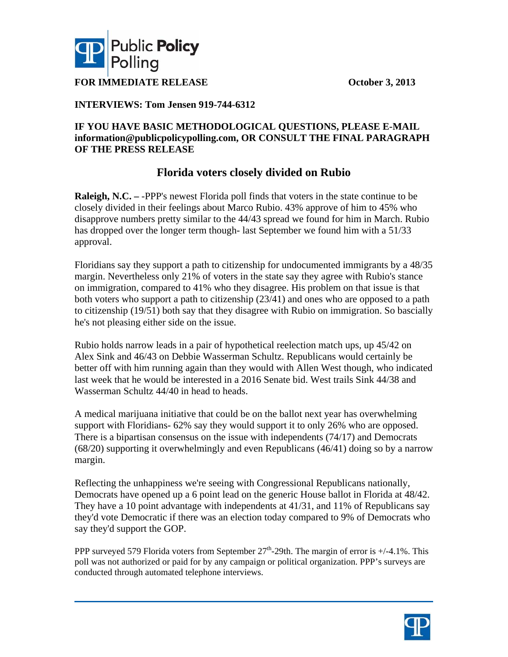

**FOR IMMEDIATE RELEASE October 3, 2013** 

# **INTERVIEWS: Tom Jensen 919-744-6312**

# **IF YOU HAVE BASIC METHODOLOGICAL QUESTIONS, PLEASE E-MAIL information@publicpolicypolling.com, OR CONSULT THE FINAL PARAGRAPH OF THE PRESS RELEASE**

# **Florida voters closely divided on Rubio**

**Raleigh, N.C. –** -PPP's newest Florida poll finds that voters in the state continue to be closely divided in their feelings about Marco Rubio. 43% approve of him to 45% who disapprove numbers pretty similar to the 44/43 spread we found for him in March. Rubio has dropped over the longer term though- last September we found him with a 51/33 approval.

Floridians say they support a path to citizenship for undocumented immigrants by a 48/35 margin. Nevertheless only 21% of voters in the state say they agree with Rubio's stance on immigration, compared to 41% who they disagree. His problem on that issue is that both voters who support a path to citizenship (23/41) and ones who are opposed to a path to citizenship (19/51) both say that they disagree with Rubio on immigration. So bascially he's not pleasing either side on the issue.

Rubio holds narrow leads in a pair of hypothetical reelection match ups, up 45/42 on Alex Sink and 46/43 on Debbie Wasserman Schultz. Republicans would certainly be better off with him running again than they would with Allen West though, who indicated last week that he would be interested in a 2016 Senate bid. West trails Sink 44/38 and Wasserman Schultz 44/40 in head to heads.

A medical marijuana initiative that could be on the ballot next year has overwhelming support with Floridians- 62% say they would support it to only 26% who are opposed. There is a bipartisan consensus on the issue with independents (74/17) and Democrats (68/20) supporting it overwhelmingly and even Republicans (46/41) doing so by a narrow margin.

Reflecting the unhappiness we're seeing with Congressional Republicans nationally, Democrats have opened up a 6 point lead on the generic House ballot in Florida at 48/42. They have a 10 point advantage with independents at 41/31, and 11% of Republicans say they'd vote Democratic if there was an election today compared to 9% of Democrats who say they'd support the GOP.

PPP surveyed 579 Florida voters from September  $27<sup>th</sup>$ -29th. The margin of error is  $+/4.1\%$ . This poll was not authorized or paid for by any campaign or political organization. PPP's surveys are conducted through automated telephone interviews.

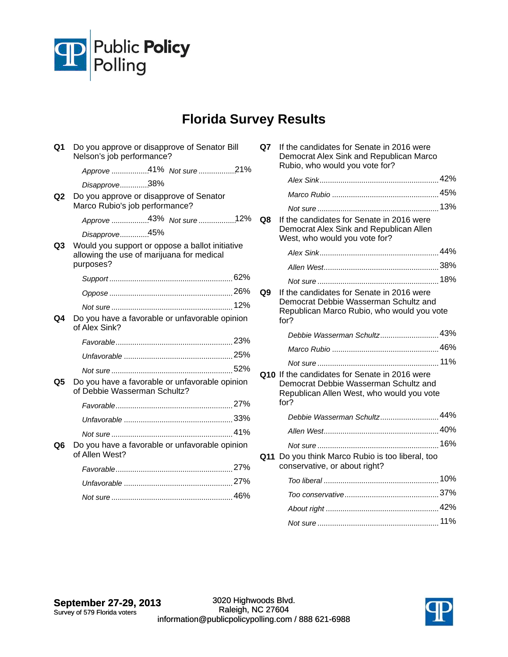

# **Florida Survey Results**

| Q1 | Do you approve or disapprove of Senator Bill<br>Nelson's job performance?                                 |        |        |
|----|-----------------------------------------------------------------------------------------------------------|--------|--------|
|    | Approve 41% Not sure 21%                                                                                  |        | R      |
|    | Disapprove38%                                                                                             |        |        |
| Q2 | Do you approve or disapprove of Senator<br>Marco Rubio's job performance?                                 |        |        |
|    | Approve 43% Not sure 12%                                                                                  | Q8     | lf     |
|    | Disapprove45%                                                                                             |        | D<br>V |
| Q3 | Would you support or oppose a ballot initiative<br>allowing the use of marijuana for medical<br>purposes? |        |        |
|    |                                                                                                           |        |        |
|    |                                                                                                           | Q9     | lf     |
|    |                                                                                                           |        | D<br>R |
| Q4 | Do you have a favorable or unfavorable opinion<br>of Alex Sink?                                           |        | fo     |
|    |                                                                                                           |        |        |
|    |                                                                                                           |        |        |
|    |                                                                                                           | Q10 If |        |
| Q5 | Do you have a favorable or unfavorable opinion<br>of Debbie Wasserman Schultz?                            |        | Е<br>R |
|    |                                                                                                           |        | fo     |
|    |                                                                                                           |        |        |
|    |                                                                                                           |        |        |
| Q6 | Do you have a favorable or unfavorable opinion<br>of Allen West?                                          | Q11    | D      |
|    |                                                                                                           |        | с      |
|    |                                                                                                           |        |        |
|    |                                                                                                           |        |        |
|    |                                                                                                           |        |        |

| Q7  | If the candidates for Senate in 2016 were<br>Democrat Alex Sink and Republican Marco<br>Rubio, who would you vote for?                      |  |
|-----|---------------------------------------------------------------------------------------------------------------------------------------------|--|
|     |                                                                                                                                             |  |
|     |                                                                                                                                             |  |
|     |                                                                                                                                             |  |
| Q8  | If the candidates for Senate in 2016 were<br>Democrat Alex Sink and Republican Allen<br>West, who would you vote for?                       |  |
|     |                                                                                                                                             |  |
|     |                                                                                                                                             |  |
|     |                                                                                                                                             |  |
| Q9  | If the candidates for Senate in 2016 were<br>Democrat Debbie Wasserman Schultz and<br>Republican Marco Rubio, who would you vote<br>for?    |  |
|     | Debbie Wasserman Schultz 43%                                                                                                                |  |
|     |                                                                                                                                             |  |
|     |                                                                                                                                             |  |
|     | Q10 If the candidates for Senate in 2016 were<br>Democrat Debbie Wasserman Schultz and<br>Republican Allen West, who would you vote<br>for? |  |
|     | Debbie Wasserman Schultz 44%                                                                                                                |  |
|     |                                                                                                                                             |  |
|     |                                                                                                                                             |  |
| Q11 | Do you think Marco Rubio is too liberal, too<br>conservative, or about right?                                                               |  |
|     |                                                                                                                                             |  |
|     |                                                                                                                                             |  |
|     |                                                                                                                                             |  |
|     |                                                                                                                                             |  |

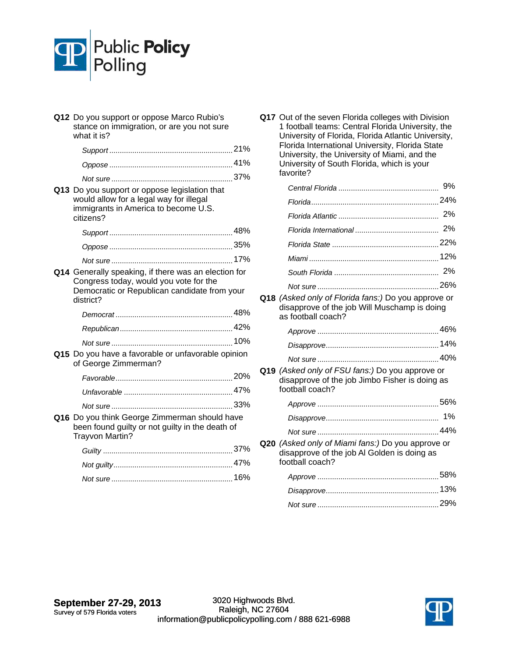

| Q12 Do you support or oppose Marco Rubio's<br>stance on immigration, or are you not sure<br>what it is?                                                     |  |
|-------------------------------------------------------------------------------------------------------------------------------------------------------------|--|
|                                                                                                                                                             |  |
|                                                                                                                                                             |  |
|                                                                                                                                                             |  |
| Q13 Do you support or oppose legislation that<br>would allow for a legal way for illegal<br>immigrants in America to become U.S.<br>citizens?               |  |
|                                                                                                                                                             |  |
|                                                                                                                                                             |  |
|                                                                                                                                                             |  |
| Q14 Generally speaking, if there was an election for<br>Congress today, would you vote for the<br>Democratic or Republican candidate from your<br>district? |  |
|                                                                                                                                                             |  |
|                                                                                                                                                             |  |
|                                                                                                                                                             |  |
| Q15 Do you have a favorable or unfavorable opinion<br>of George Zimmerman?                                                                                  |  |
|                                                                                                                                                             |  |
|                                                                                                                                                             |  |
|                                                                                                                                                             |  |
| Q16 Do you think George Zimmerman should have<br>been found guilty or not guilty in the death of<br>Trayvon Martin?                                         |  |
|                                                                                                                                                             |  |
|                                                                                                                                                             |  |
|                                                                                                                                                             |  |
|                                                                                                                                                             |  |

**Q17** Out of the seven Florida colleges with Division 1 football teams: Central Florida University, the University of Florida, Florida Atlantic University, Florida International University, Florida State University, the University of Miami, and the University of South Florida, which is your favorite?

|                                                                                                                           | 9% |
|---------------------------------------------------------------------------------------------------------------------------|----|
|                                                                                                                           |    |
|                                                                                                                           |    |
|                                                                                                                           | 2% |
|                                                                                                                           |    |
|                                                                                                                           |    |
|                                                                                                                           |    |
|                                                                                                                           |    |
|                                                                                                                           |    |
| Q18 (Asked only of Florida fans:) Do you approve or<br>disapprove of the job Will Muschamp is doing<br>as football coach? |    |
|                                                                                                                           |    |
|                                                                                                                           |    |
|                                                                                                                           |    |
| Q19 (Asked only of FSU fans:) Do you approve or<br>disapprove of the job Jimbo Fisher is doing as<br>football coach?      |    |
|                                                                                                                           |    |
|                                                                                                                           | 1% |
|                                                                                                                           |    |
| Q20 (Asked only of Miami fans:) Do you approve or<br>disapprove of the job Al Golden is doing as<br>football coach?       |    |
|                                                                                                                           |    |
|                                                                                                                           |    |

*Not sure* 29% ..........................................................

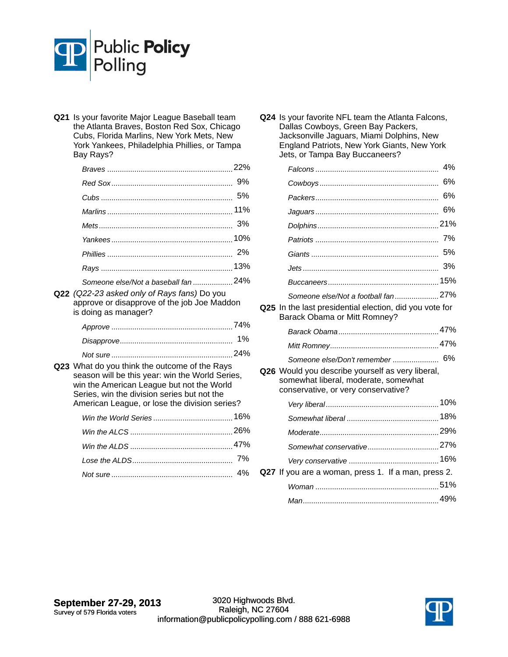

**Q21** Is your favorite Major League Baseball team the Atlanta Braves, Boston Red Sox, Chicago Cubs, Florida Marlins, New York Mets, New York Yankees, Philadelphia Phillies, or Tampa Bay Rays?

| Someone else/Not a baseball fan  24% |  |
|--------------------------------------|--|

**Q22** *(Q22-23 asked only of Rays fans)* Do you approve or disapprove of the job Joe Maddon is doing as manager?

**Q23** What do you think the outcome of the Rays season will be this year: win the World Series, win the American League but not the World Series, win the division series but not the American League, or lose the division series?

**Q24** Is your favorite NFL team the Atlanta Falcons, Dallas Cowboys, Green Bay Packers, Jacksonville Jaguars, Miami Dolphins, New England Patriots, New York Giants, New York Jets, or Tampa Bay Buccaneers?

|                                                                                                                                 | 4%  |
|---------------------------------------------------------------------------------------------------------------------------------|-----|
|                                                                                                                                 | 6%  |
|                                                                                                                                 | 6%  |
|                                                                                                                                 | 6%  |
|                                                                                                                                 |     |
|                                                                                                                                 | 7%  |
|                                                                                                                                 | 5%  |
|                                                                                                                                 | 3%  |
|                                                                                                                                 | 15% |
| Someone else/Not a football fan 27%                                                                                             |     |
| Q25 In the last presidential election, did you vote for<br>Barack Obama or Mitt Romney?                                         |     |
|                                                                                                                                 |     |
|                                                                                                                                 |     |
| Someone else/Don't remember  6%                                                                                                 |     |
| Q26 Would you describe yourself as very liberal,<br>somewhat liberal, moderate, somewhat<br>conservative, or very conservative? |     |
|                                                                                                                                 |     |
|                                                                                                                                 |     |
|                                                                                                                                 |     |
|                                                                                                                                 |     |
|                                                                                                                                 |     |
| Q27 If you are a woman, press 1. If a man, press 2.                                                                             |     |
|                                                                                                                                 |     |
|                                                                                                                                 |     |

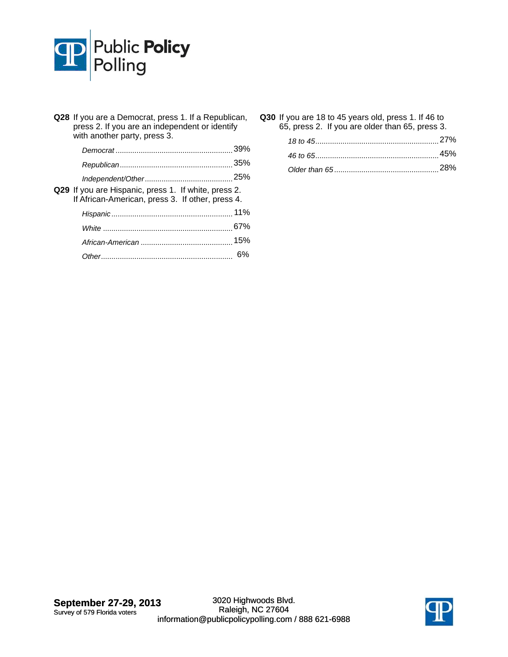

| Q28 If you are a Democrat, press 1. If a Republican,<br>press 2. If you are an independent or identify<br>with another party, press 3. |    |
|----------------------------------------------------------------------------------------------------------------------------------------|----|
|                                                                                                                                        |    |
|                                                                                                                                        |    |
|                                                                                                                                        |    |
| Q29 If you are Hispanic, press 1. If white, press 2.<br>If African-American, press 3. If other, press 4.                               |    |
|                                                                                                                                        |    |
|                                                                                                                                        |    |
|                                                                                                                                        |    |
|                                                                                                                                        | 6% |

**Q30** If you are 18 to 45 years old, press 1. If 46 to 65, press 2. If you are older than 65, press 3.

| 45% |
|-----|
|     |

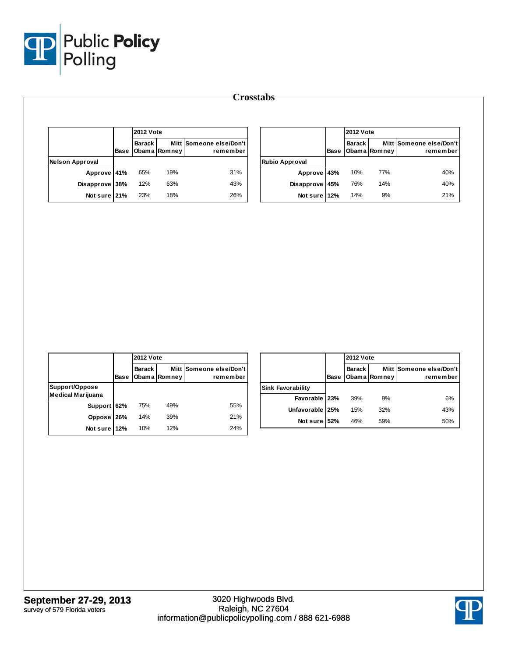

|                        |      | <b>2012 Vote</b> |              |                                     |
|------------------------|------|------------------|--------------|-------------------------------------|
|                        | Base | <b>Barack</b>    | Obama Romney | Mitt Someone else/Don't<br>remember |
| <b>Nelson Approval</b> |      |                  |              |                                     |
| Approve 41%            |      | 65%              | 19%          | 31%                                 |
| <b>Disapprove</b>      | 38%  | 12%              | 63%          | 43%                                 |
| Not sure 21%           |      | 23%              | 18%          | 26%                                 |

|                       |      | <b>2012 Vote</b> |              |                                     |
|-----------------------|------|------------------|--------------|-------------------------------------|
|                       | Base | Barack I         | Obama Romney | Mitt Someone else/Don't<br>remember |
| <b>Rubio Approval</b> |      |                  |              |                                     |
| Approve 43%           |      | 10%              | 77%          | 40%                                 |
| <b>Disapprove</b>     | 45%  | 76%              | 14%          | 40%                                 |
| Not sure 12%          |      | 14%              | 9%           | 21%                                 |

|                                            |             | <b>2012 Vote</b> |              |                                     |  |  |
|--------------------------------------------|-------------|------------------|--------------|-------------------------------------|--|--|
|                                            | <b>Base</b> | <b>Barack</b>    | Obama Romney | Mitt Someone else/Don't<br>remember |  |  |
| Support/Oppose<br><b>Medical Marijuana</b> |             |                  |              |                                     |  |  |
| Support 62%                                |             | 75%              | 49%          | 55%                                 |  |  |
| Oppose                                     | 26%         | 14%              | 39%          | 21%                                 |  |  |
| Not sure 12%                               |             | 10%              | 12%          | 24%                                 |  |  |

|                          |      |               | <b>2012 Vote</b> |                                     |  |  |
|--------------------------|------|---------------|------------------|-------------------------------------|--|--|
|                          | Base | <b>Barack</b> | Obama Romney     | Mitt Someone else/Don't<br>remember |  |  |
| <b>Sink Favorability</b> |      |               |                  |                                     |  |  |
| Favorable 23%            |      | 39%           | 9%               | 6%                                  |  |  |
| <b>Unfavorable</b>       | 25%  | 15%           | 32%              | 43%                                 |  |  |
| Not sure 52%             |      | 46%           | 59%              | 50%                                 |  |  |

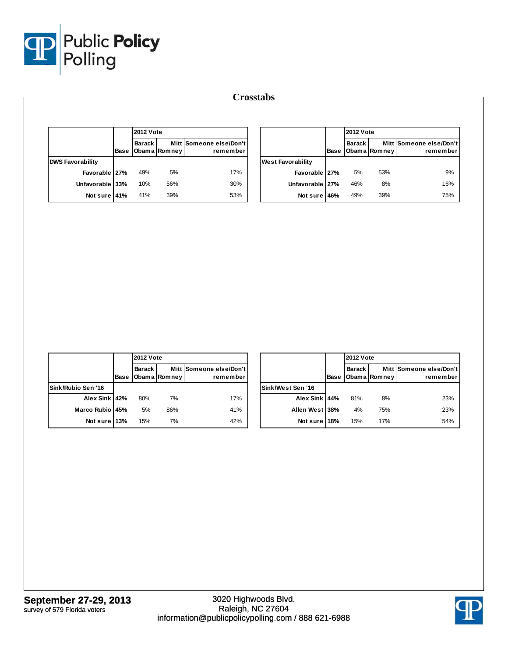

|                         |      | <b>2012 Vote</b> |              |                                     |
|-------------------------|------|------------------|--------------|-------------------------------------|
|                         | Base | <b>Barack</b>    | Obama Romney | Mitt Someone else/Don't<br>remember |
| <b>DWS Favorability</b> |      |                  |              |                                     |
| Favorable 27%           |      | 49%              | 5%           | 17%                                 |
| <b>Unfavorable</b>      | 33%  | 10%              | 56%          | 30%                                 |
| Not sure 41%            |      | 41%              | 39%          | 53%                                 |

|                          |      | <b>2012 Vote</b> |              |                                     |
|--------------------------|------|------------------|--------------|-------------------------------------|
|                          | Base | <b>Barack</b>    | Obama Romney | Mitt Someone else/Don't<br>remember |
| <b>West Favorability</b> |      |                  |              |                                     |
| Favorable 27%            |      | 5%               | 53%          | 9%                                  |
| Unfavorable   27%        |      | 46%              | 8%           | 16%                                 |
| Not sure                 | 46%  | 49%              | 39%          | 75%                                 |

|                    |      | <b>2012 Vote</b> |              |                                     |  |  |
|--------------------|------|------------------|--------------|-------------------------------------|--|--|
|                    | Base | Barack I         | Obama Romney | Mitt Someone else/Don't<br>remember |  |  |
| Sink/Rubio Sen '16 |      |                  |              |                                     |  |  |
| Alex Sink 42%      |      | 80%              | 7%           | 17%                                 |  |  |
| <b>Marco Rubio</b> | 45%  | 5%               | 86%          | 41%                                 |  |  |
| Not sure 13%       |      | 15%              | 7%           | 42%                                 |  |  |

|                   |      | <b>2012 Vote</b> |              |                                     |  |
|-------------------|------|------------------|--------------|-------------------------------------|--|
|                   | Base | Barack I         | Obama Romney | Mitt Someone else/Don't<br>remember |  |
| Sink/West Sen '16 |      |                  |              |                                     |  |
| Alex Sink 44%     |      | 81%              | 8%           | 23%                                 |  |
| Allen West        | 38%  | 4%               | 75%          | 23%                                 |  |
| Not sure          | 18%  | 15%              | 17%          | 54%                                 |  |

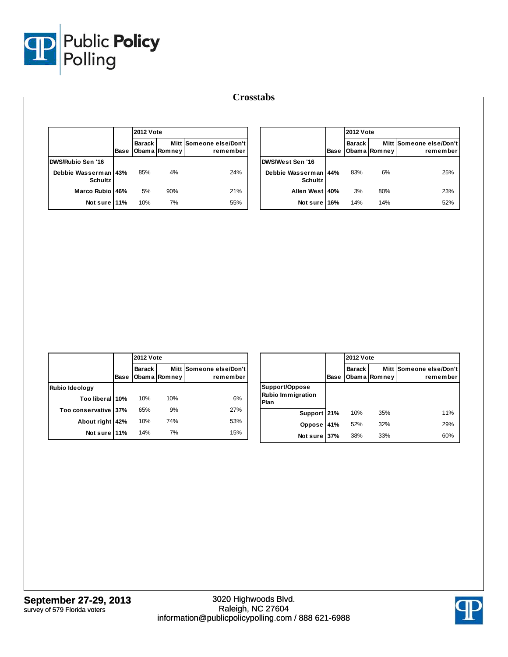

|                                        | Base | <b>2012 Vote</b> |              |                                     |
|----------------------------------------|------|------------------|--------------|-------------------------------------|
|                                        |      | Barack           | Obama Romney | Mitt Someone else/Don't<br>remember |
| DWS/Rubio Sen '16                      |      |                  |              |                                     |
| Debbie Wasserman 43%<br><b>Schultz</b> |      | 85%              | 4%           | 24%                                 |
| Marco Rubio                            | 46%  | 5%               | 90%          | 21%                                 |
| Not sure 11%                           |      | 10%              | 7%           | 55%                                 |

|                                    |      | <b>2012 Vote</b> |              |                                     |
|------------------------------------|------|------------------|--------------|-------------------------------------|
|                                    | Base | <b>Barack</b>    | Obama Romney | Mitt Someone else/Don't<br>remember |
| DWS/West Sen '16                   |      |                  |              |                                     |
| Debbie Wasserman<br><b>Schultz</b> | 44%  | 83%              | 6%           | 25%                                 |
| <b>Allen West</b>                  | 40%  | 3%               | 80%          | 23%                                 |
| Not sure                           | 16%  | 14%              | 14%          | 52%                                 |

|                      |             | <b>2012 Vote</b> |              |                                     |  |
|----------------------|-------------|------------------|--------------|-------------------------------------|--|
|                      | <b>Base</b> | <b>Barack</b>    | Obama Romney | Mitt Someone else/Don't<br>remember |  |
| Rubio Ideology       |             |                  |              |                                     |  |
| Too liberal 10%      |             | 10%              | 10%          | 6%                                  |  |
| Too conservative 37% |             | 65%              | 9%           | 27%                                 |  |
| About right          | 42%         | 10%              | 74%          | 53%                                 |  |
| Not sure 11%         |             | 14%              | 7%           | 15%                                 |  |

|                                                    |      |               | <b>2012 Vote</b> |                                     |  |  |
|----------------------------------------------------|------|---------------|------------------|-------------------------------------|--|--|
|                                                    | Base | <b>Barack</b> | Obama Romney     | Mitt Someone else/Don't<br>remember |  |  |
| Support/Oppose<br><b>Rubio Immigration</b><br>Plan |      |               |                  |                                     |  |  |
| Support 21%                                        |      | 10%           | 35%              | 11%                                 |  |  |
| <b>Oppose</b>                                      | 41%  | 52%           | 32%              | 29%                                 |  |  |
| Not sure                                           | 37%  | 38%           | 33%              | 60%                                 |  |  |

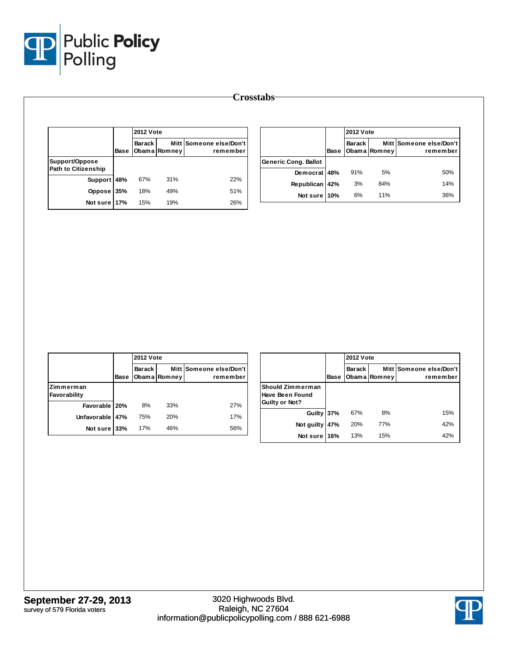

|                                              |             | <b>2012 Vote</b> |              |                                     |  |
|----------------------------------------------|-------------|------------------|--------------|-------------------------------------|--|
|                                              | <b>Base</b> | Barack           | Obama Romney | Mitt Someone else/Don't<br>remember |  |
| Support/Oppose<br><b>Path to Citizenship</b> |             |                  |              |                                     |  |
| Support                                      | 48%         | 67%              | 31%          | 22%                                 |  |
| Oppose                                       | 35%         | 18%              | 49%          | 51%                                 |  |
| Not sure 17%                                 |             | 15%              | 19%          | 26%                                 |  |

|                             |      | <b>2012 Vote</b> |              |                                     |  |
|-----------------------------|------|------------------|--------------|-------------------------------------|--|
|                             | Base | Barack           | Obama Romney | Mitt Someone else/Don't<br>remember |  |
| <b>Generic Cong. Ballot</b> |      |                  |              |                                     |  |
| Democrat 48%                |      | 91%              | 5%           | 50%                                 |  |
| <b>Republican</b>           | 42%  | 3%               | 84%          | 14%                                 |  |
| Not sure                    | 10%  | 6%               | 11%          | 36%                                 |  |

|                           |      | <b>2012 Vote</b> |              |                                     |  |  |
|---------------------------|------|------------------|--------------|-------------------------------------|--|--|
|                           | Base | <b>Barack</b>    | Obama Romney | Mitt Someone else/Don't<br>remember |  |  |
| Zimmerman<br>Favorability |      |                  |              |                                     |  |  |
| Favorable 20%             |      | 8%               | 33%          | 27%                                 |  |  |
| Unfavorable 47%           |      | 75%              | 20%          | 17%                                 |  |  |
| Not sure 33%              |      | 17%              | 46%          | 56%                                 |  |  |

|                                                       |      |               | <b>2012 Vote</b> |                                     |  |  |
|-------------------------------------------------------|------|---------------|------------------|-------------------------------------|--|--|
|                                                       | Base | <b>Barack</b> | Obama Romney     | Mitt Someone else/Don't<br>remember |  |  |
| Should Zimmerman<br>Have Been Found<br>Guilty or Not? |      |               |                  |                                     |  |  |
| Guilty 37%                                            |      | 67%           | 8%               | 15%                                 |  |  |
| Not quilty                                            | 47%  | 20%           | 77%              | 42%                                 |  |  |
| Not sure                                              | 16%  | 13%           | 15%              | 42%                                 |  |  |

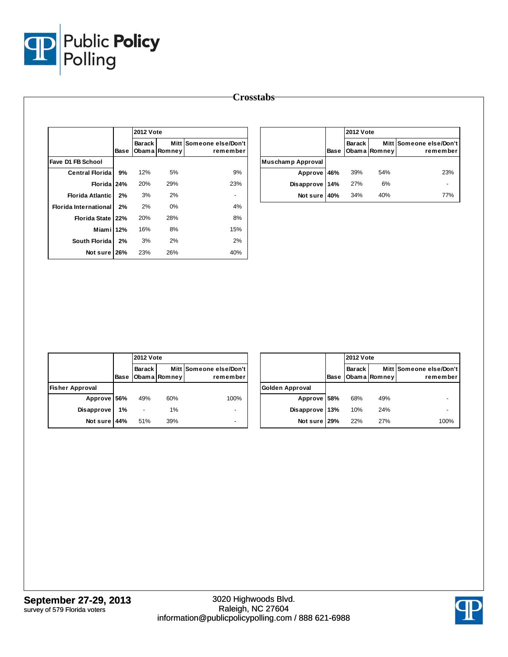

| <b>Crosstabs</b> |  |
|------------------|--|
|------------------|--|

|                         |      |               | <b>2012 Vote</b> |                                     |  |
|-------------------------|------|---------------|------------------|-------------------------------------|--|
|                         | Base | <b>Barack</b> | Obama Romney     | Mitt Someone else/Don't<br>remember |  |
| Fave D1 FB School       |      |               |                  |                                     |  |
| <b>Central Florida</b>  | 9%   | 12%           | 5%               | 9%                                  |  |
| Florida 24%             |      | 20%           | 29%              | 23%                                 |  |
| <b>Florida Atlantic</b> | 2%   | 3%            | 2%               |                                     |  |
| Florida International   | 2%   | 2%            | 0%               | 4%                                  |  |
| Florida State 22%       |      | 20%           | 28%              | 8%                                  |  |
| Miami 12%               |      | 16%           | 8%               | 15%                                 |  |
| South Florida           | 2%   | 3%            | 2%               | 2%                                  |  |
| Not sure 26%            |      | 23%           | 26%              | 40%                                 |  |

|                   |      |          | <b>2012 Vote</b> |                                     |  |
|-------------------|------|----------|------------------|-------------------------------------|--|
|                   | Base | Barack I | Obama Romney     | Mitt Someone else/Don't<br>remember |  |
| Muschamp Approval |      |          |                  |                                     |  |
| Approve 46%       |      | 39%      | 54%              | 23%                                 |  |
| Disapprove 14%    |      | 27%      | 6%               |                                     |  |
| Not sure 40%      |      | 34%      | 40%              | 77%                                 |  |

|                        |      |               | <b>2012 Vote</b> |                                     |  |  |  |
|------------------------|------|---------------|------------------|-------------------------------------|--|--|--|
|                        | Base | <b>Barack</b> | Obama Romney     | Mitt Someone else/Don't<br>remember |  |  |  |
| <b>Fisher Approval</b> |      |               |                  |                                     |  |  |  |
| Approve 56%            |      | 49%           | 60%              | 100%                                |  |  |  |
| <b>Disapprove</b>      | 1%   |               | 1%               |                                     |  |  |  |
| Not sure               | 44%  | 51%           | 39%              |                                     |  |  |  |

|                   |      |          | <b>2012 Vote</b> |                                     |  |  |
|-------------------|------|----------|------------------|-------------------------------------|--|--|
|                   | Base | Barack I | Obama Romney     | Mitt Someone else/Don't<br>remember |  |  |
| Golden Approval   |      |          |                  |                                     |  |  |
| Approve 58%       |      | 68%      | 49%              |                                     |  |  |
| <b>Disapprove</b> | 13%  | 10%      | 24%              |                                     |  |  |
| Not sure 29%      |      | 22%      | 27%              | 100%                                |  |  |

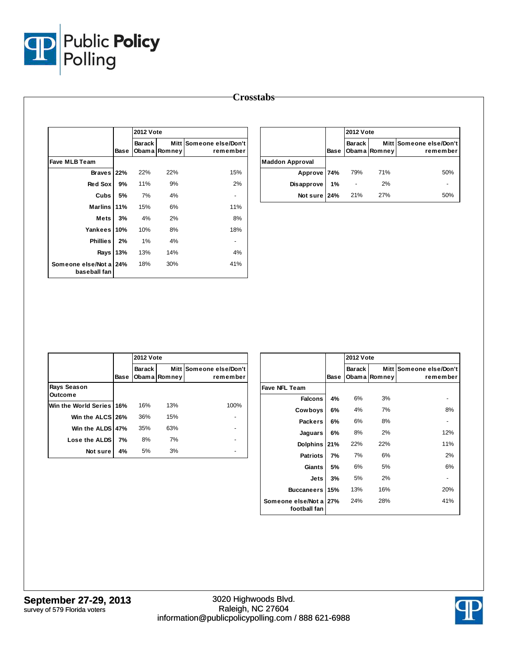

| <b>Crosstabs</b> |
|------------------|
|                  |

|                                    |      |                         | <b>2012 Vote</b> |                                |  |
|------------------------------------|------|-------------------------|------------------|--------------------------------|--|
|                                    | Base | <b>Barack</b><br>Obam a | Mitt<br>Romney   | Someone else/Don't<br>remember |  |
| <b>Fave MLB Team</b>               |      |                         |                  |                                |  |
| <b>Braves</b>                      | 22%  | 22%                     | 22%              | 15%                            |  |
| <b>Red Sox</b>                     | 9%   | 11%                     | 9%               | 2%                             |  |
| Cubs                               | 5%   | 7%                      | 4%               | -                              |  |
| <b>Marlins</b>                     | 11%  | 15%                     | 6%               | 11%                            |  |
| <b>Mets</b>                        | 3%   | 4%                      | 2%               | 8%                             |  |
| Yankees                            | 10%  | 10%                     | 8%               | 18%                            |  |
| <b>Phillies</b>                    | 2%   | 1%                      | 4%               |                                |  |
| Rays                               | 13%  | 13%                     | 14%              | 4%                             |  |
| Someone else/Not a<br>baseball fan | 24%  | 18%                     | 30%              | 41%                            |  |

|                        |      |        | <b>2012 Vote</b> |                                     |  |
|------------------------|------|--------|------------------|-------------------------------------|--|
|                        | Base | Barack | Obama Romney     | Mitt Someone else/Don't<br>remember |  |
| <b>Maddon Approval</b> |      |        |                  |                                     |  |
| Approve 74%            |      | 79%    | 71%              | 50%                                 |  |
| <b>Disapprove</b>      | 1%   |        | 2%               |                                     |  |
| Not sure 24%           |      | 21%    | 27%              | 50%                                 |  |

|                               |      | <b>2012 Vote</b> |              |                                     |
|-------------------------------|------|------------------|--------------|-------------------------------------|
|                               | Base | <b>Barack</b>    | Obama Romney | Mitt Someone else/Don't<br>remember |
| Rays Season<br><b>Outcome</b> |      |                  |              |                                     |
| Win the World Series 16%      |      | 16%              | 13%          | 100%                                |
| Win the ALCS 26%              |      | 36%              | 15%          |                                     |
| Win the ALDS 47%              |      | 35%              | 63%          |                                     |
| Lose the ALDS                 | 7%   | 8%               | 7%           |                                     |
| Not sure                      | 4%   | 5%               | 3%           |                                     |

|                                        |      | <b>2012 Vote</b>        |                  |                                |  |
|----------------------------------------|------|-------------------------|------------------|--------------------------------|--|
|                                        | Base | <b>Barack</b><br>Obam a | Mitt I<br>Romney | Someone else/Don't<br>remember |  |
| Fave NFL Team                          |      |                         |                  |                                |  |
| <b>Falcons</b>                         | 4%   | 6%                      | 3%               |                                |  |
| Cowboys                                | 6%   | 4%                      | 7%               | 8%                             |  |
| <b>Packers</b>                         | 6%   | 6%                      | 8%               |                                |  |
| Jaguars                                | 6%   | 8%                      | 2%               | 12%                            |  |
| Dolphins                               | 21%  | 22%                     | 22%              | 11%                            |  |
| <b>Patriots</b>                        | 7%   | 7%                      | 6%               | 2%                             |  |
| <b>Giants</b>                          | 5%   | 6%                      | 5%               | 6%                             |  |
| Jets                                   | 3%   | 5%                      | 2%               |                                |  |
| <b>Buccaneers</b>                      | 15%  | 13%                     | 16%              | 20%                            |  |
| Someone else/Not a 27%<br>football fan |      | 24%                     | 28%              | 41%                            |  |

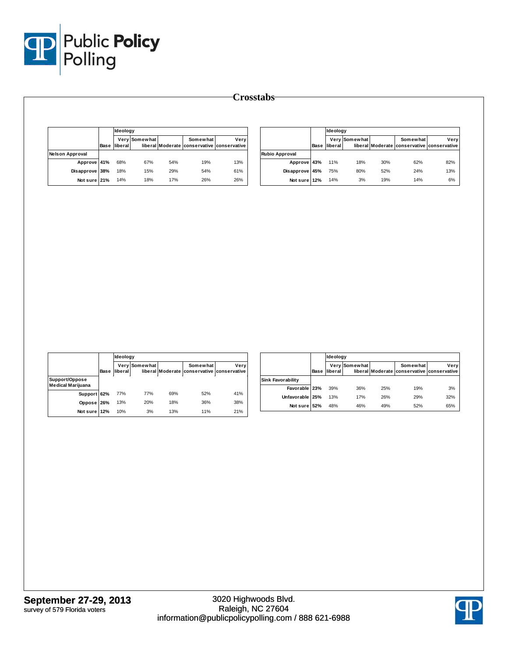

|                        |      |         | Ideology      |     |                                                        |      |  |  |
|------------------------|------|---------|---------------|-----|--------------------------------------------------------|------|--|--|
|                        | Base | liberal | Very Somewhat |     | Somewhat<br>liberal Moderate conservative conservative | Very |  |  |
| <b>Nelson Approval</b> |      |         |               |     |                                                        |      |  |  |
| Approve 41%            |      | 68%     | 67%           | 54% | 19%                                                    | 13%  |  |  |
| Disapprove 38%         |      | 18%     | 15%           | 29% | 54%                                                    | 61%  |  |  |
| Not sure 21%           |      | 14%     | 18%           | 17% | 26%                                                    | 26%  |  |  |

|                       |      | Ideology |               |     |                                                        |      |  |
|-----------------------|------|----------|---------------|-----|--------------------------------------------------------|------|--|
|                       | Base | liberal  | Very Somewhat |     | Somewhat<br>liberal Moderate conservative conservative | Very |  |
| <b>Rubio Approval</b> |      |          |               |     |                                                        |      |  |
| Approve 43%           |      | 11%      | 18%           | 30% | 62%                                                    | 82%  |  |
| Disapprove 45%        |      | 75%      | 80%           | 52% | 24%                                                    | 13%  |  |
| Not sure              | 12%  | 14%      | 3%            | 19% | 14%                                                    | 6%   |  |

|                                            |             | Ideology |                      |     |                                                        |      |  |
|--------------------------------------------|-------------|----------|----------------------|-----|--------------------------------------------------------|------|--|
|                                            | <b>Base</b> | liberal  | <b>Very Somewhat</b> |     | Somewhat<br>liberal Moderate conservative conservative | Very |  |
| Support/Oppose<br><b>Medical Marijuana</b> |             |          |                      |     |                                                        |      |  |
| Support 62%                                |             | 77%      | 77%                  | 69% | 52%                                                    | 41%  |  |
| Oppose 26%                                 |             | 13%      | 20%                  | 18% | 36%                                                    | 38%  |  |
| Not sure 12%                               |             | 10%      | 3%                   | 13% | 11%                                                    | 21%  |  |

|                          |      |         | Ideology      |     |                                                        |      |  |  |
|--------------------------|------|---------|---------------|-----|--------------------------------------------------------|------|--|--|
|                          | Base | liberal | Very Somewhat |     | Somewhat<br>liberal Moderate conservative conservative | Verv |  |  |
| <b>Sink Favorability</b> |      |         |               |     |                                                        |      |  |  |
| Favorable 23%            |      | 39%     | 36%           | 25% | 19%                                                    | 3%   |  |  |
| Unfavorable 25%          |      | 13%     | 17%           | 26% | 29%                                                    | 32%  |  |  |
| Not sure                 | 52%  | 48%     | 46%           | 49% | 52%                                                    | 65%  |  |  |

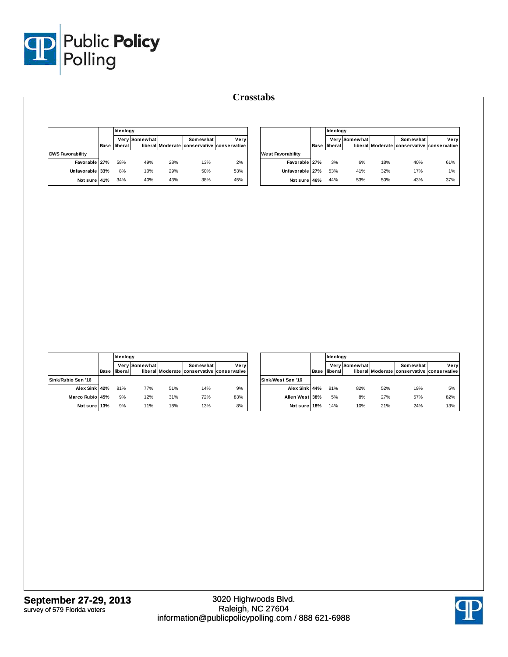

|                         |      |         | Ideoloav      |     |                                                        |      |  |  |
|-------------------------|------|---------|---------------|-----|--------------------------------------------------------|------|--|--|
|                         | Base | liberal | Very Somewhat |     | Somewhat<br>liberal Moderate conservative conservative | Verv |  |  |
| <b>DWS Favorability</b> |      |         |               |     |                                                        |      |  |  |
| Favorable 27%           |      | 58%     | 49%           | 28% | 13%                                                    | 2%   |  |  |
| Unfavorable 33%         |      | 8%      | 10%           | 29% | 50%                                                    | 53%  |  |  |
| Not sure 41%            |      | 34%     | 40%           | 43% | 38%                                                    | 45%  |  |  |

|                          |      | Ideology |               |     |                                                        |      |  |
|--------------------------|------|----------|---------------|-----|--------------------------------------------------------|------|--|
|                          | Base | liberal  | Very Somewhat |     | Somewhat<br>liberal Moderate conservative conservative | Very |  |
| <b>West Favorability</b> |      |          |               |     |                                                        |      |  |
| Favorable 27%            |      | 3%       | 6%            | 18% | 40%                                                    | 61%  |  |
| Unfavorable 27%          |      | 53%      | 41%           | 32% | 17%                                                    | 1%   |  |
| Not sure                 | 46%  | 44%      | 53%           | 50% | 43%                                                    | 37%  |  |

|                    |      | <b>Ideology</b> |               |     |                                                               |      |  |  |  |
|--------------------|------|-----------------|---------------|-----|---------------------------------------------------------------|------|--|--|--|
|                    | Base | <b>Iliberal</b> | Very Somewhat |     | <b>Somewhat</b><br>liberal Moderate conservative conservative | Very |  |  |  |
| Sink/Rubio Sen '16 |      |                 |               |     |                                                               |      |  |  |  |
| Alex Sink 42%      |      | 81%             | 77%           | 51% | 14%                                                           | 9%   |  |  |  |
| Marco Rubio 45%    |      | 9%              | 12%           | 31% | 72%                                                           | 83%  |  |  |  |
| Not sure 13%       |      | 9%              | 11%           | 18% | 13%                                                           | 8%   |  |  |  |

|                   |      | Ideology |               |     |                                                        |      |  |
|-------------------|------|----------|---------------|-----|--------------------------------------------------------|------|--|
|                   | Base | liberal  | Very Somewhat |     | Somewhat<br>liberal Moderate conservative conservative | Very |  |
| Sink/West Sen '16 |      |          |               |     |                                                        |      |  |
| Alex Sink 44%     |      | 81%      | 82%           | 52% | 19%                                                    | 5%   |  |
| Allen West 38%    |      | 5%       | 8%            | 27% | 57%                                                    | 82%  |  |
| Not sure 18%      |      | 14%      | 10%           | 21% | 24%                                                    | 13%  |  |

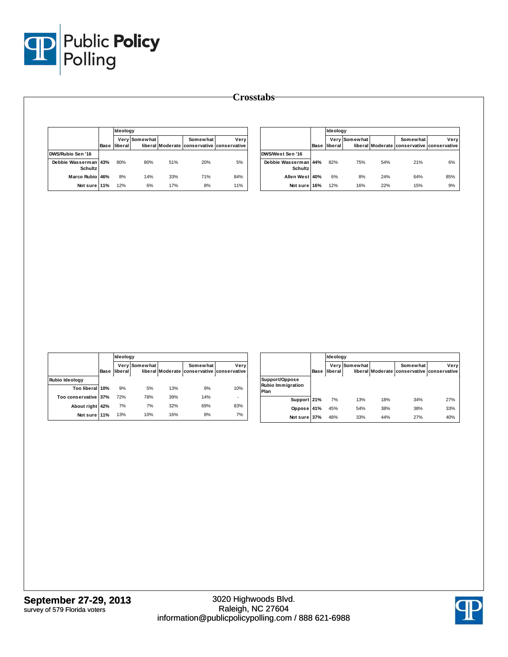

|                                        |             | Ideology |               |     |                                                        |      |  |
|----------------------------------------|-------------|----------|---------------|-----|--------------------------------------------------------|------|--|
|                                        | <b>Base</b> | liberall | Very Somewhat |     | Somewhat<br>liberal Moderate conservative conservative | Very |  |
| <b>DWS/Rubio Sen '16</b>               |             |          |               |     |                                                        |      |  |
| Debbie Wasserman 43%<br><b>Schultz</b> |             | 80%      | 80%           | 51% | 20%                                                    | 5%   |  |
| Marco Rubio 46%                        |             | 8%       | 14%           | 33% | 71%                                                    | 84%  |  |
| Not sure 11%                           |             | 12%      | 6%            | 17% | 8%                                                     | 11%  |  |

|                                    |      | Ideology |                      |     |                                                        |      |  |
|------------------------------------|------|----------|----------------------|-----|--------------------------------------------------------|------|--|
|                                    | Base | liberal  | <b>Very Somewhat</b> |     | Somewhat<br>liberal Moderate conservative conservative | Very |  |
| DWS/West Sen '16                   |      |          |                      |     |                                                        |      |  |
| Debbie Wasserman<br><b>Schultz</b> | 44%  | 82%      | 75%                  | 54% | 21%                                                    | 6%   |  |
| Allen West 40%                     |      | 6%       | 8%                   | 24% | 64%                                                    | 85%  |  |
| Not sure 16%                       |      | 12%      | 16%                  | 22% | 15%                                                    | 9%   |  |

|                      |      |         | Ideology      |     |                                                        |      |  |  |  |  |
|----------------------|------|---------|---------------|-----|--------------------------------------------------------|------|--|--|--|--|
|                      | Base | liberal | Very Somewhat |     | Somewhat<br>liberal Moderate conservative conservative | Very |  |  |  |  |
| Rubio Ideology       |      |         |               |     |                                                        |      |  |  |  |  |
| Too liberal 10%      |      | 9%      | 5%            | 13% | 9%                                                     | 10%  |  |  |  |  |
| Too conservative 37% |      | 72%     | 78%           | 39% | 14%                                                    |      |  |  |  |  |
| About right 42%      |      | 7%      | 7%            | 32% | 69%                                                    | 83%  |  |  |  |  |
| Not sure 11%         |      | 13%     | 10%           | 16% | 8%                                                     | 7%   |  |  |  |  |

|                                             |      |         | Ideology      |     |                                                        |      |  |  |
|---------------------------------------------|------|---------|---------------|-----|--------------------------------------------------------|------|--|--|
|                                             | Base | liberal | Very Somewhat |     | Somewhat<br>liberal Moderate conservative conservative | Very |  |  |
| Support/Oppose<br>Rubio Immigration<br>Plan |      |         |               |     |                                                        |      |  |  |
| Support 21%                                 |      | 7%      | 13%           | 18% | 34%                                                    | 27%  |  |  |
| Oppose                                      | 41%  | 45%     | 54%           | 38% | 38%                                                    | 33%  |  |  |
| Not sure 37%                                |      | 48%     | 33%           | 44% | 27%                                                    | 40%  |  |  |

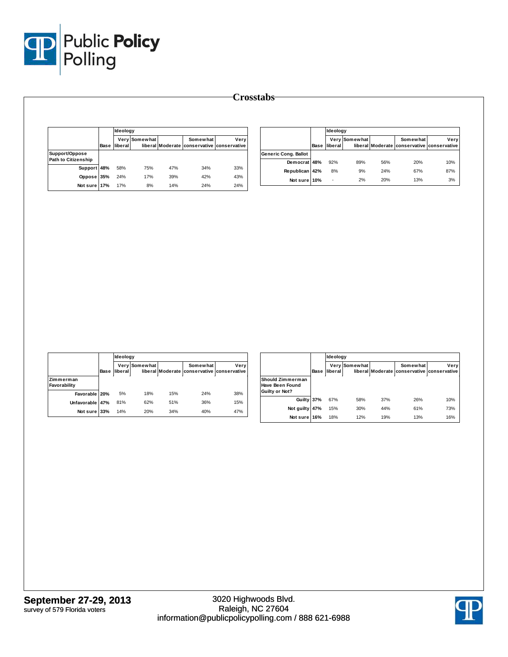

|                                              | Base | <b>Ideology</b> |               |     |                                                        |      |  |
|----------------------------------------------|------|-----------------|---------------|-----|--------------------------------------------------------|------|--|
|                                              |      | liberal         | Very Somewhat |     | Somewhat<br>liberal Moderate conservative conservative | Verv |  |
| Support/Oppose<br><b>Path to Citizenship</b> |      |                 |               |     |                                                        |      |  |
| <b>Support</b>                               | 48%  | 58%             | 75%           | 47% | 34%                                                    | 33%  |  |
| Oppose                                       | 35%  | 24%             | 17%           | 39% | 42%                                                    | 43%  |  |
| Not sure 17%                                 |      | 17%             | 8%            | 14% | 24%                                                    | 24%  |  |

|                      |      | Ideology |               |     |                                                        |      |  |
|----------------------|------|----------|---------------|-----|--------------------------------------------------------|------|--|
|                      | Base | liberal  | Very Somewhat |     | Somewhat<br>liberal Moderate conservative conservative | Verv |  |
| Generic Cong. Ballot |      |          |               |     |                                                        |      |  |
| Democrat 48%         |      | 92%      | 89%           | 56% | 20%                                                    | 10%  |  |
| Republican 42%       |      | 8%       | 9%            | 24% | 67%                                                    | 87%  |  |
| Not sure 10%         |      |          | 2%            | 20% | 13%                                                    | 3%   |  |

|                           |      | Ideology |               |                  |                                       |      |  |
|---------------------------|------|----------|---------------|------------------|---------------------------------------|------|--|
|                           | Base | liberal  | Very Somewhat | liberal Moderate | Somewhat<br>conservative conservative | Very |  |
| Zimmerman<br>Favorability |      |          |               |                  |                                       |      |  |
| Favorable 20%             |      | 5%       | 18%           | 15%              | 24%                                   | 38%  |  |
| Unfavorable 47%           |      | 81%      | 62%           | 51%              | 36%                                   | 15%  |  |
| Not sure 33%              |      | 14%      | 20%           | 34%              | 40%                                   | 47%  |  |

|                                                              |      |                 | Ideology        |     |                                                        |      |  |  |
|--------------------------------------------------------------|------|-----------------|-----------------|-----|--------------------------------------------------------|------|--|--|
|                                                              | Base | Very<br>liberal | <b>Somewhat</b> |     | Somewhat<br>liberal Moderate conservative conservative | Very |  |  |
| Should Zimmerman<br><b>Have Been Found</b><br>Guilty or Not? |      |                 |                 |     |                                                        |      |  |  |
| Guilty 37%                                                   |      | 67%             | 58%             | 37% | 26%                                                    | 10%  |  |  |
| Not guilty                                                   | 47%  | 15%             | 30%             | 44% | 61%                                                    | 73%  |  |  |
| Not sure                                                     | 16%  | 18%             | 12%             | 19% | 13%                                                    | 16%  |  |  |

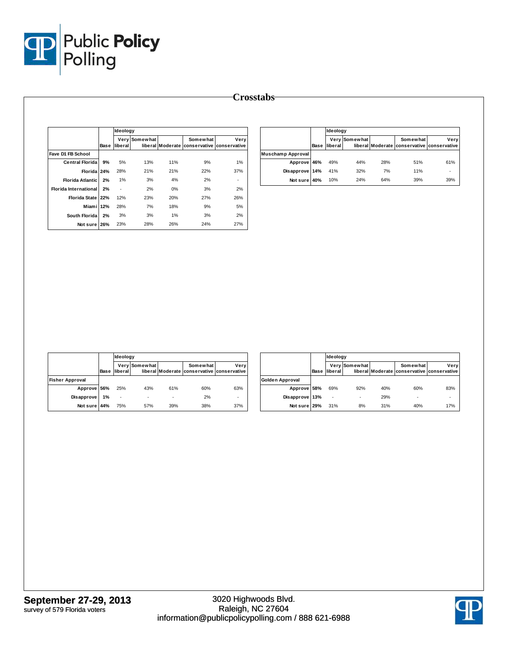

|                              |      |         | Ideology      |     |                                                               |      |  |  |
|------------------------------|------|---------|---------------|-----|---------------------------------------------------------------|------|--|--|
|                              | Base | liberal | Very Somewhat |     | <b>Somewhat</b><br>liberal Moderate conservative conservative | Very |  |  |
| Fave D1 FB School            |      |         |               |     |                                                               |      |  |  |
| <b>Central Florida</b>       | 9%   | 5%      | 13%           | 11% | 9%                                                            | 1%   |  |  |
| Florida 24%                  |      | 28%     | 21%           | 21% | 22%                                                           | 37%  |  |  |
| <b>Florida Atlantic</b>      | 2%   | 1%      | 3%            | 4%  | 2%                                                            | ۰    |  |  |
| <b>Florida International</b> | 2%   |         | 2%            | 0%  | 3%                                                            | 2%   |  |  |
| <b>Florida State</b>         | 22%  | 12%     | 23%           | 20% | 27%                                                           | 26%  |  |  |
| Miamil                       | 12%  | 28%     | 7%            | 18% | 9%                                                            | 5%   |  |  |
| South Florida                | 2%   | 3%      | 3%            | 1%  | 3%                                                            | 2%   |  |  |
| Not sure                     | 26%  | 23%     | 28%           | 26% | 24%                                                           | 27%  |  |  |

|                          |      | Ideology |               |     |                                                        |      |  |
|--------------------------|------|----------|---------------|-----|--------------------------------------------------------|------|--|
|                          | Base | lliberal | Very Somewhat |     | Somewhat<br>liberal Moderate conservative conservative | Very |  |
| <b>Muschamp Approval</b> |      |          |               |     |                                                        |      |  |
| Approve 46%              |      | 49%      | 44%           | 28% | 51%                                                    | 61%  |  |
| Disapprove 14%           |      | 41%      | 32%           | 7%  | 11%                                                    | ٠    |  |
| Not sure 40%             |      | 10%      | 24%           | 64% | 39%                                                    | 39%  |  |

|                        |      | Ideology |               |     |                                                        |      |  |
|------------------------|------|----------|---------------|-----|--------------------------------------------------------|------|--|
|                        | Base | liberal  | Very Somewhat |     | Somewhat<br>liberal Moderate conservative conservative | Very |  |
| <b>Fisher Approval</b> |      |          |               |     |                                                        |      |  |
| Approve 56%            |      | 25%      | 43%           | 61% | 60%                                                    | 63%  |  |
| Disapprove 1%          |      |          |               |     | 2%                                                     |      |  |
| Not sure 44%           |      | 75%      | 57%           | 39% | 38%                                                    | 37%  |  |

|                 |      |         | Ideology      |     |                                                        |      |  |  |
|-----------------|------|---------|---------------|-----|--------------------------------------------------------|------|--|--|
|                 | Base | liberal | Very Somewhat |     | Somewhat<br>liberal Moderate conservative conservative | Very |  |  |
| Golden Approval |      |         |               |     |                                                        |      |  |  |
| Approve 58%     |      | 69%     | 92%           | 40% | 60%                                                    | 83%  |  |  |
| Disapprove 13%  |      | ٠       |               | 29% | ۰                                                      | ٠    |  |  |
| Not sure 29%    |      | 31%     | 8%            | 31% | 40%                                                    | 17%  |  |  |

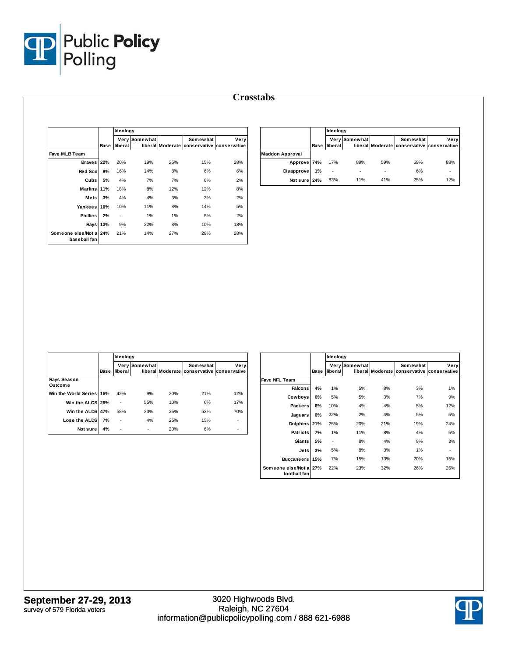

|                                    |      | <b>Ideology</b> |               |                  |                          |                      |
|------------------------------------|------|-----------------|---------------|------------------|--------------------------|----------------------|
|                                    | Base | liberal         | Very Somewhat | liberal Moderate | Somewhat<br>conservative | Very<br>conservative |
| <b>Fave MLB Team</b>               |      |                 |               |                  |                          |                      |
| <b>Braves</b>                      | 22%  | 20%             | 19%           | 26%              | 15%                      | 28%                  |
| <b>Red Sox</b>                     | 9%   | 16%             | 14%           | 8%               | 6%                       | 6%                   |
| Cubs                               | 5%   | 4%              | 7%            | 7%               | 6%                       | 2%                   |
| <b>Marlins</b>                     | 11%  | 18%             | 8%            | 12%              | 12%                      | 8%                   |
| <b>Mets</b>                        | 3%   | 4%              | 4%            | 3%               | 3%                       | 2%                   |
| Yankees                            | 10%  | 10%             | 11%           | 8%               | 14%                      | 5%                   |
| <b>Phillies</b>                    | 2%   | ٠               | 1%            | 1%               | 5%                       | 2%                   |
| Rays                               | 13%  | 9%              | 22%           | 8%               | 10%                      | 18%                  |
| Someone else/Not a<br>baseball fan | 24%  | 21%             | 14%           | 27%              | 28%                      | 28%                  |

|                        |      | Ideology       |               |     |                                                        |      |  |
|------------------------|------|----------------|---------------|-----|--------------------------------------------------------|------|--|
|                        | Base | <b>liberal</b> | Very Somewhat |     | Somewhat<br>liberal Moderate conservative conservative | Verv |  |
| <b>Maddon Approval</b> |      |                |               |     |                                                        |      |  |
| Approve 74%            |      | 17%            | 89%           | 59% | 69%                                                    | 88%  |  |
| Disapprove 1%          |      | ٠              |               |     | 6%                                                     | ٠    |  |
| Not sure 24%           |      | 83%            | 11%           | 41% | 25%                                                    | 12%  |  |

|                          |      |         | Ideology      |     |                                            |      |  |  |  |
|--------------------------|------|---------|---------------|-----|--------------------------------------------|------|--|--|--|
|                          |      |         | Very Somewhat |     | Somewhat                                   | Very |  |  |  |
|                          | Base | liberal |               |     | liberal Moderate conservative conservative |      |  |  |  |
| Rays Season<br>Outcome   |      |         |               |     |                                            |      |  |  |  |
| Win the World Series 16% |      | 42%     | 9%            | 20% | 21%                                        | 12%  |  |  |  |
| Win the ALCS 26%         |      |         | 55%           | 10% | 6%                                         | 17%  |  |  |  |
| Win the ALDS 47%         |      | 58%     | 33%           | 25% | 53%                                        | 70%  |  |  |  |
| Lose the ALDS            | 7%   |         | 4%            | 25% | 15%                                        |      |  |  |  |
| Not sure                 | 4%   |         | ۰             | 20% | 6%                                         |      |  |  |  |

|                                    |      |         |               | Ideology         |                 |              |  |  |  |  |
|------------------------------------|------|---------|---------------|------------------|-----------------|--------------|--|--|--|--|
|                                    |      |         | Very Somewhat |                  | <b>Somewhat</b> | Very         |  |  |  |  |
|                                    | Base | liberal |               | liberal Moderate | conservative    | conservative |  |  |  |  |
| Fave NFL Team                      |      |         |               |                  |                 |              |  |  |  |  |
| <b>Falcons</b>                     | 4%   | 1%      | 5%            | 8%               | 3%              | 1%           |  |  |  |  |
| Cowboys                            | 6%   | 5%      | 5%            | 3%               | 7%              | 9%           |  |  |  |  |
| <b>Packers</b>                     | 6%   | 10%     | 4%            | 4%               | 5%              | 12%          |  |  |  |  |
| Jaguars                            | 6%   | 22%     | 2%            | 4%               | 5%              | 5%           |  |  |  |  |
| <b>Dolphins</b>                    | 21%  | 25%     | 20%           | 21%              | 19%             | 24%          |  |  |  |  |
| <b>Patriots</b>                    | 7%   | 1%      | 11%           | 8%               | 4%              | 5%           |  |  |  |  |
| Giants                             | 5%   | ٠       | 8%            | 4%               | 9%              | 3%           |  |  |  |  |
| Jets                               | 3%   | 5%      | 8%            | 3%               | 1%              | ٠            |  |  |  |  |
| <b>Buccaneers</b>                  | 15%  | 7%      | 15%           | 13%              | 20%             | 15%          |  |  |  |  |
| Someone else/Not a<br>football fan | 27%  | 22%     | 23%           | 32%              | 26%             | 26%          |  |  |  |  |

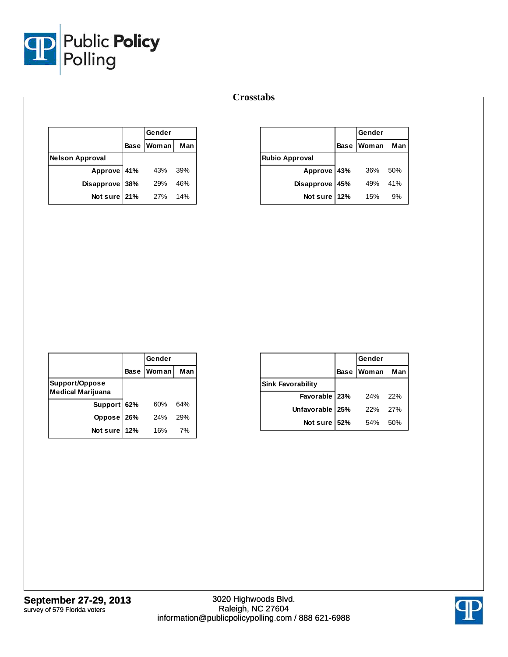

|                        | Gender     |     |
|------------------------|------------|-----|
|                        | Base Woman | Man |
| <b>Nelson Approval</b> |            |     |
| Approve 41%            | 43%        | 39% |
| Disapprove 38%         | <b>29%</b> | 46% |
| Not sure 21%           | 27%        | 14% |

|                       |             | Gender |     |
|-----------------------|-------------|--------|-----|
|                       | <b>Base</b> | Woman  | Man |
| <b>Rubio Approval</b> |             |        |     |
| Approve 43%           |             | 36%    | 50% |
| Disapprove            | 45%         | 49%    | 41% |
| Not sure              | 12%         | 15%    | 9%  |

|                                            |      | Gender        |     |
|--------------------------------------------|------|---------------|-----|
|                                            | Base | <u>IWoman</u> | Man |
| Support/Oppose<br><b>Medical Marijuana</b> |      |               |     |
| Support 62%                                |      | 60%           | 64% |
| Oppose 26%                                 |      | 24%           | 29% |
| Not sure                                   | 12%  | 16%           | 7%  |

|                          |      | Gender |     |
|--------------------------|------|--------|-----|
|                          | Base | Woman  | Man |
| <b>Sink Favorability</b> |      |        |     |
| Favorable 23%            |      | 24%    | 22% |
| Unfavorable 25%          |      | 22%    | 27% |
| Not sure                 | 52%  | 54%    | 50% |

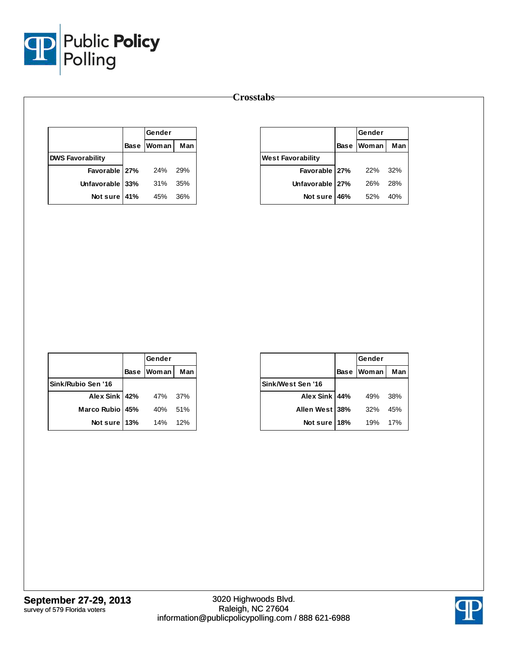

|                         | Gender       |     |
|-------------------------|--------------|-----|
|                         | Base   Woman | Man |
| <b>DWS Favorability</b> |              |     |
| Favorable 27%           | 24%          | 29% |
| Unfavorable 33%         | 31%          | 35% |
| Not sure 41%            | 45%          | 36% |

|                          |     | Gender       |     |
|--------------------------|-----|--------------|-----|
|                          |     | Base   Woman | Man |
| <b>West Favorability</b> |     |              |     |
| Favorable 27%            |     | 22%          | 32% |
| Unfavorable 27%          |     | 26%          | 28% |
| Not sure                 | 46% | 52%          | 40% |

|                    | Gender       |     |
|--------------------|--------------|-----|
|                    | Base   Woman | Man |
| Sink/Rubio Sen '16 |              |     |
| Alex Sink 42%      | 47%          | 37% |
| Marco Rubio 45%    | 40%          | 51% |
| Not sure 13%       | 14%          | 12% |

|                   |             | Gender       |     |
|-------------------|-------------|--------------|-----|
|                   | <b>Base</b> | <b>Woman</b> | Man |
| Sink/West Sen '16 |             |              |     |
| Alex Sink 44%     |             | 49%          | 38% |
| Allen West 38%    |             | 32%          | 45% |
| Not sure          | 18%         | 19%          | 17% |

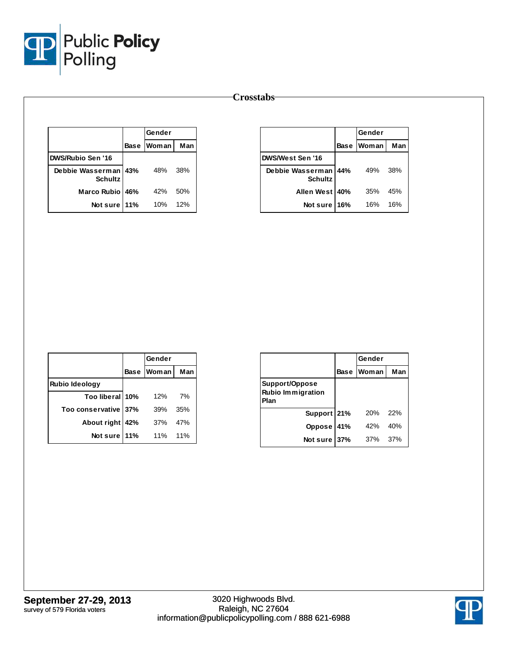

|                                        |      | Gender |     |
|----------------------------------------|------|--------|-----|
|                                        | Base | Woman  | Man |
| <b>DWS/Rubio Sen '16</b>               |      |        |     |
| Debbie Wasserman 43%<br><b>Schultz</b> |      | 48%    | 38% |
| Marco Rubio 46%                        |      | 42%    | 50% |
| Not sure                               | 11%  | 10%    | 12% |

|                               | Gender      |              |     |
|-------------------------------|-------------|--------------|-----|
|                               | <b>Base</b> | <b>Woman</b> | Man |
| DWS/West Sen '16              |             |              |     |
| Debbie Wasserman I<br>Schultz | 44%         | 49%          | 38% |
| Allen West   40%              |             | 35%          | 45% |
| Not sure                      | 16%         | 16%          | 16% |

|                       | Gender |       |     |
|-----------------------|--------|-------|-----|
|                       | Base   | Woman | Man |
| <b>Rubio Ideology</b> |        |       |     |
| Too liberal 10%       |        | 12%   | 7%  |
| Too conservative      | 37%    | 39%   | 35% |
| About right           | 42%    | 37%   | 47% |
| Not sure              | 11%    | 11%   | 11% |

|                                                    |             | Gender       |       |
|----------------------------------------------------|-------------|--------------|-------|
|                                                    | <b>Base</b> | <b>Woman</b> | Man   |
| Support/Oppose<br><b>Rubio Immigration</b><br>Plan |             |              |       |
| Support 21%                                        |             | 20%          | - 22% |
| Oppose 41%                                         |             | 42%          | 40%   |
| Not sure                                           | 37%         | 37%          | 37%   |

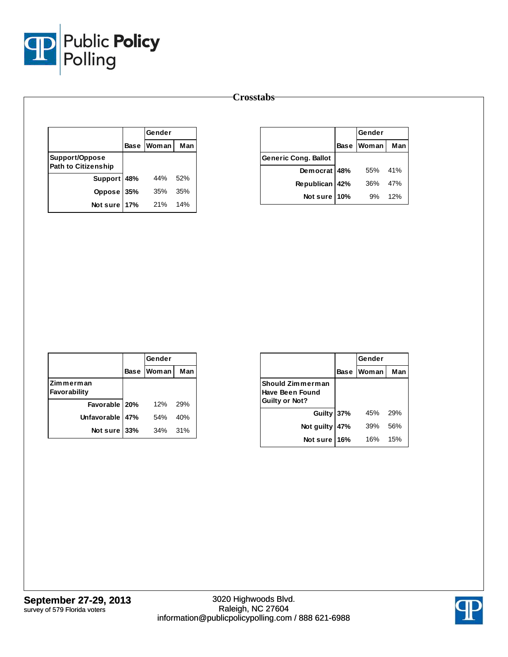

|                                              |     | Gender            |     |
|----------------------------------------------|-----|-------------------|-----|
|                                              |     | <b>Base Woman</b> | Man |
| Support/Oppose<br><b>Path to Citizenship</b> |     |                   |     |
| Support 48%                                  |     | 44%               | 52% |
| Oppose 35%                                   |     | 35%               | 35% |
| Not sure                                     | 17% | 21%               | 14% |

|                             |     | Gender     |     |
|-----------------------------|-----|------------|-----|
|                             |     | Base Woman | Man |
| <b>Generic Cong. Ballot</b> |     |            |     |
| Democrat 48%                |     | 55%        | 41% |
| Republican 42%              |     | 36%        | 47% |
| Not sure                    | 10% | 9%         | 12% |

|                           | Gender     |     |
|---------------------------|------------|-----|
|                           | Base Woman | Man |
| Zimmerman<br>Favorability |            |     |
| Favorable   20%           | 12%        | 29% |
| Unfavorable 47%           | 54%        | 40% |
| Not sure 33%              | 34%        | 31% |

|                                                              |     | Gender     |     |
|--------------------------------------------------------------|-----|------------|-----|
|                                                              |     | Base Woman | Man |
| Should Zimmerman<br>Have Been Found<br><b>Guilty or Not?</b> |     |            |     |
| Guilty 37%                                                   |     | 45%        | 29% |
| Not guilty                                                   | 47% | 39%        | 56% |
| Not sure                                                     | 16% | 16%        | 15% |

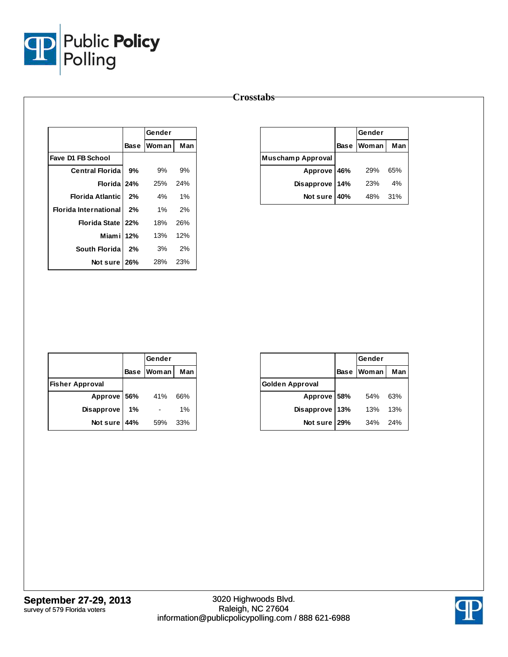

|                              |    | Gender                        |     |
|------------------------------|----|-------------------------------|-----|
|                              |    | Base Woman Man                |     |
| Fave D1 FB School            |    |                               |     |
| <b>Central Florida</b>       | 9% | 9%                            | 9%  |
|                              |    | <b>Florida 24%</b> $25\%$ 24% |     |
| <b>Florida Atlantic</b>      | 2% | 4% 1%                         |     |
| <b>Florida International</b> | 2% | $1\%$ 2%                      |     |
| Florida State   22%          |    | 18% 26%                       |     |
| Miam i 12%                   |    | 13% 12%                       |     |
| South Floridal               | 2% | 3%                            | 2%  |
| Notsure 126%                 |    | 28%                           | 23% |
|                              |    |                               |     |

|                          |             | Gender     |     |
|--------------------------|-------------|------------|-----|
|                          | <b>Base</b> | Woman      | Man |
| <b>Muschamp Approval</b> |             |            |     |
| Approve 46%              |             | <b>29%</b> | 65% |
| Disapprove               | 14%         | 23%        | 4%  |
| Not sure                 | 40%         | 48%        | 31% |

|                        |     | Gender       |     |
|------------------------|-----|--------------|-----|
|                        |     | Base   Woman | Man |
| <b>Fisher Approval</b> |     |              |     |
| Approve 56%            |     | 41%          | 66% |
| <b>Disapprove</b>      | 1%  |              | 1%  |
| Not sure               | 44% | 59%          | 33% |

|                        |             | Gender |     |
|------------------------|-------------|--------|-----|
|                        | <b>Base</b> | Woman  | Man |
| <b>Golden Approval</b> |             |        |     |
| Approve 58%            |             | 54%    | 63% |
| Disapprove             | 13%         | 13%    | 13% |
| Not sure               | 29%         | 34%    | 24% |

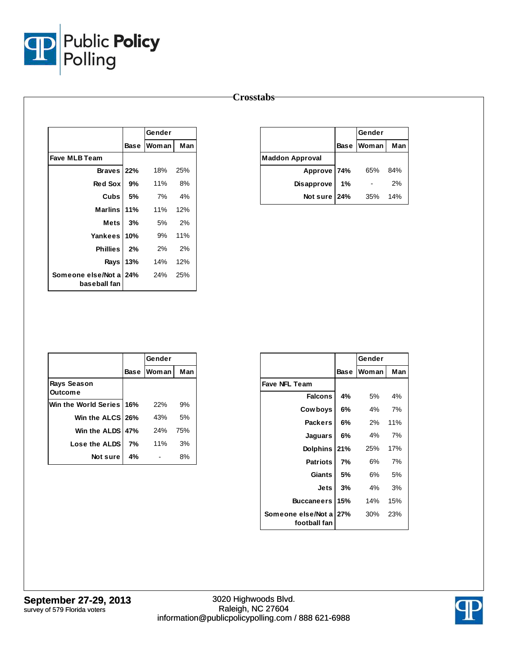

| <b>Crosstabs</b> |
|------------------|
|------------------|

|                                                       |      | Gender                   |     |
|-------------------------------------------------------|------|--------------------------|-----|
|                                                       | Base | <b>Woman</b>             | Man |
| <b>Fave MLB Team</b>                                  |      |                          |     |
| Braves 22%                                            |      | 18%                      | 25% |
| Red Sox                                               | 9%   | 11% 8%                   |     |
|                                                       |      | <b>Cubs</b> $15\%$ 7% 4% |     |
| Marlins I 11%                                         |      | 11% 12%                  |     |
| Mets 3%                                               |      | 5% 2%                    |     |
| Yankees 10%                                           |      | 9%                       | 11% |
| Phillies 2%                                           |      | 2% 2%                    |     |
|                                                       |      | <b>Rays 13%</b> 14%      | 12% |
| <b>Someone else/Not a 24%</b> 24% 25%<br>baseball fan |      |                          |     |

|                        | Gender      |              |     |  |
|------------------------|-------------|--------------|-----|--|
|                        | <b>Base</b> | <b>Woman</b> | Man |  |
| <b>Maddon Approval</b> |             |              |     |  |
| Approve 74%            |             | 65%          | 84% |  |
| <b>Disapprove</b>      | 1%          |              | 2%  |  |
| Not sure 24%           |             | 35%          | 14% |  |

|                               |    | Gender       |     |
|-------------------------------|----|--------------|-----|
|                               |    | Base   Woman | Man |
| Rays Season<br><b>Outcome</b> |    |              |     |
| Win the World Series 16%      |    | 22%          | 9%  |
| Win the ALCS 26%              |    | 43%          | 5%  |
| Win the ALDS 47%              |    | 24%          | 75% |
| Lose the ALDS                 | 7% | 11%          | 3%  |
| Not sure                      | 4% |              | 8%  |

|                                        |             | Gender |     |
|----------------------------------------|-------------|--------|-----|
|                                        | <b>Base</b> | Woman  | Man |
| <b>Fave NFL Team</b>                   |             |        |     |
| <b>Falcons</b>                         | 4%          | 5%     | 4%  |
| Cowboys                                | 6%          | 4%     | 7%  |
| <b>Packers</b>                         | 6%          | 2%     | 11% |
| Jaguars                                | 6%          | $4\%$  | 7%  |
| <b>Dolphins</b>                        | 21%         | 25%    | 17% |
| <b>Patriots</b>                        | 7%          | 6%     | 7%  |
| Giants                                 | 5%          | 6%     | 5%  |
| Jets                                   | 3%          | 4%     | 3%  |
| <b>Buccaneers</b>                      | 15%         | 14%    | 15% |
| Someone else/Not a 27%<br>football fan |             | 30%    | 23% |

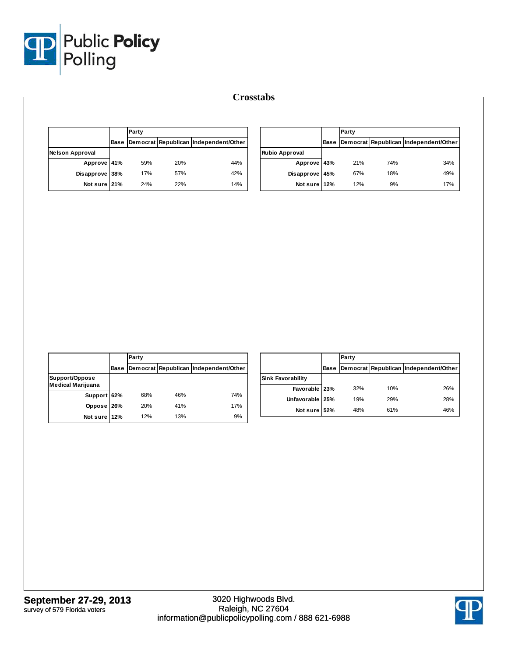

|                        | Party |     |                                            |                       | Party |     |                                            |
|------------------------|-------|-----|--------------------------------------------|-----------------------|-------|-----|--------------------------------------------|
|                        |       |     | Base Democrat Republican Independent/Other |                       |       |     | Base Democrat Republican Independent/Other |
| <b>Nelson Approval</b> |       |     |                                            | <b>Rubio Approval</b> |       |     |                                            |
| Approve 41%            | 59%   | 20% | 44%                                        | Approve 43%           | 21%   | 74% | 34%                                        |
| Disapprove 38%         | 17%   | 57% | 42%                                        | Disapprove 45%        | 67%   | 18% | 49%                                        |
| Not sure 21%           | 24%   | 22% | 14%                                        | Not sure 12%          | 12%   | 9%  | 17%                                        |

|                                            |             | Party |     |                                       |
|--------------------------------------------|-------------|-------|-----|---------------------------------------|
|                                            | <b>Base</b> |       |     | Democrat Republican Independent/Other |
| Support/Oppose<br><b>Medical Marijuana</b> |             |       |     |                                       |
| Support 62%                                |             | 68%   | 46% | 74%                                   |
| Oppose 26%                                 |             | 20%   | 41% | 17%                                   |
| Not sure 12%                               |             | 12%   | 13% | 9%                                    |

|                          |      | Party |     |                                       |
|--------------------------|------|-------|-----|---------------------------------------|
|                          | Base |       |     | Democrat Republican Independent/Other |
| <b>Sink Favorability</b> |      |       |     |                                       |
| Favorable 23%            |      | 32%   | 10% | 26%                                   |
| Unfavorable 25%          |      | 19%   | 29% | 28%                                   |
| Not sure 52%             |      | 48%   | 61% | 46%                                   |

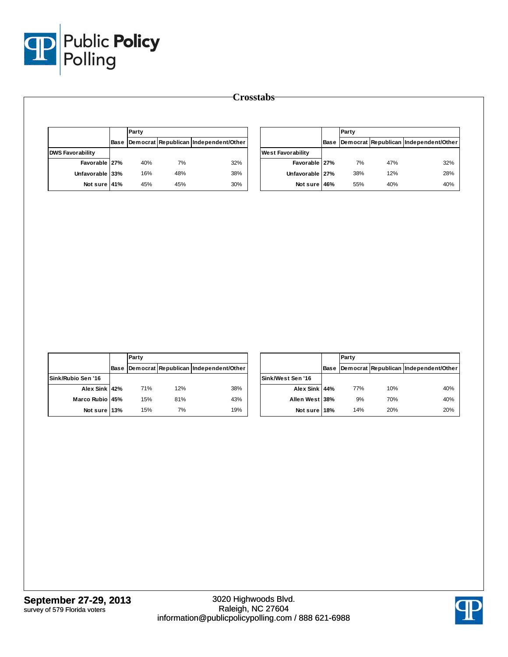

|                         | Party |     |                                            |                          | Party |     |                                            |
|-------------------------|-------|-----|--------------------------------------------|--------------------------|-------|-----|--------------------------------------------|
|                         |       |     | Base Democrat Republican Independent/Other |                          |       |     | Base Democrat Republican Independent/Other |
| <b>DWS Favorability</b> |       |     |                                            | <b>West Favorability</b> |       |     |                                            |
| Favorable 27%           | 40%   | 7%  | 32%                                        | Favorable 27%            | 7%    | 47% | 32%                                        |
| Unfavorable 33%         | 16%   | 48% | 38%                                        | Unfavorable 27%          | 38%   | 12% | 28%                                        |
| Not sure 41%            | 45%   | 45% | 30%                                        | Not sure 46%             | 55%   | 40% | 40%                                        |

|                    |             | Party |     |                                       |
|--------------------|-------------|-------|-----|---------------------------------------|
|                    | <b>Base</b> |       |     | Democrat Republican Independent/Other |
| Sink/Rubio Sen '16 |             |       |     |                                       |
| Alex Sink 42%      |             | 71%   | 12% | 38%                                   |
| Marco Rubio 45%    |             | 15%   | 81% | 43%                                   |
| Not sure 13%       |             | 15%   | 7%  | 19%                                   |

|                   |      | Party |     |                                       |
|-------------------|------|-------|-----|---------------------------------------|
|                   | Base |       |     | Democrat Republican Independent/Other |
| Sink/West Sen '16 |      |       |     |                                       |
| Alex Sink 44%     |      | 77%   | 10% | 40%                                   |
| Allen West 38%    |      | 9%    | 70% | 40%                                   |
| Not sure 18%      |      | 14%   | 20% | 20%                                   |

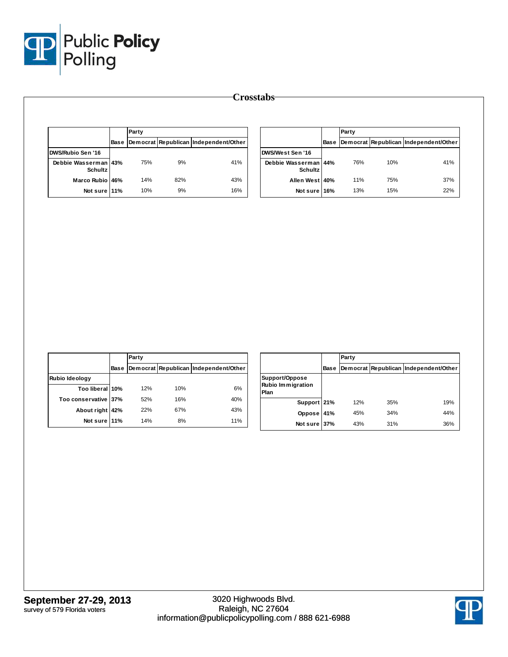

|                                        |      | Party |     |                                       |
|----------------------------------------|------|-------|-----|---------------------------------------|
|                                        | Base |       |     | Democrat Republican Independent/Other |
| DWS/Rubio Sen '16                      |      |       |     |                                       |
| Debbie Wasserman 43%<br><b>Schultz</b> |      | 75%   | 9%  | 41%                                   |
| Marco Rubio 46%                        |      | 14%   | 82% | 43%                                   |
| Not sure 11%                           |      | 10%   | 9%  | 16%                                   |

|                                        |             | Party |     |                                       |
|----------------------------------------|-------------|-------|-----|---------------------------------------|
|                                        | <b>Base</b> |       |     | Democrat Republican Independent/Other |
| DWS/West Sen '16                       |             |       |     |                                       |
| Debbie Wasserman 44%<br><b>Schultz</b> |             | 76%   | 10% | 41%                                   |
| Allen West 40%                         |             | 11%   | 75% | 37%                                   |
| Not sure 16%                           |             | 13%   | 15% | 22%                                   |

|                      |             | Party |     |                                       |
|----------------------|-------------|-------|-----|---------------------------------------|
|                      | <b>Base</b> |       |     | Democrat Republican Independent/Other |
| Rubio Ideology       |             |       |     |                                       |
| Too liberal 10%      |             | 12%   | 10% | 6%                                    |
| Too conservative 37% |             | 52%   | 16% | 40%                                   |
| About right 42%      |             | 22%   | 67% | 43%                                   |
| Not sure 11%         |             | 14%   | 8%  | 11%                                   |

|                                                    |      | Party |     |                                       |
|----------------------------------------------------|------|-------|-----|---------------------------------------|
|                                                    | Base |       |     | Democrat Republican Independent/Other |
| Support/Oppose<br><b>Rubio Immigration</b><br>Plan |      |       |     |                                       |
| Support 21%                                        |      | 12%   | 35% | 19%                                   |
| Oppose                                             | 41%  | 45%   | 34% | 44%                                   |
| Not sure 37%                                       |      | 43%   | 31% | 36%                                   |

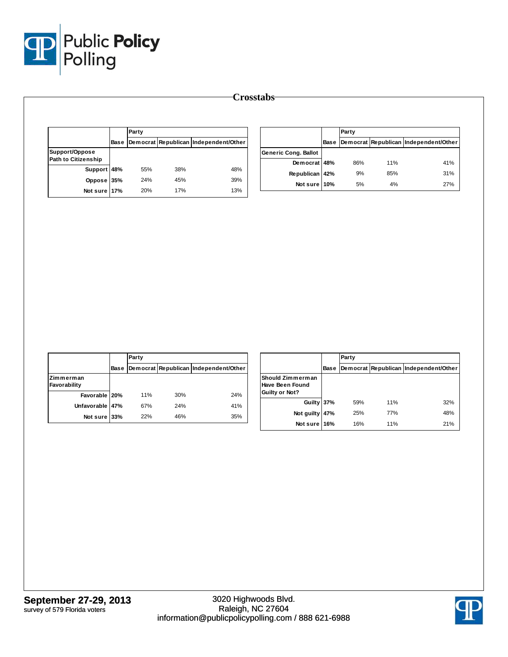

|                                              | Base | Party |     |                                       |
|----------------------------------------------|------|-------|-----|---------------------------------------|
|                                              |      |       |     | Democrat Republican Independent/Other |
| Support/Oppose<br><b>Path to Citizenship</b> |      |       |     |                                       |
| Support 48%                                  |      | 55%   | 38% | 48%                                   |
| Oppose 35%                                   |      | 24%   | 45% | 39%                                   |
| Not sure 17%                                 |      | 20%   | 17% | 13%                                   |

|                             |             | Party |     |                                       |  |  |  |
|-----------------------------|-------------|-------|-----|---------------------------------------|--|--|--|
|                             | <b>Base</b> |       |     | Democrat Republican Independent/Other |  |  |  |
| <b>Generic Cong. Ballot</b> |             |       |     |                                       |  |  |  |
| Democrat 48%                |             | 86%   | 11% | 41%                                   |  |  |  |
| Republican 42%              |             | 9%    | 85% | 31%                                   |  |  |  |
| Not sure 10%                |             | 5%    | 4%  | 27%                                   |  |  |  |

|                           |      | Party      |     |                                       |  |  |  |  |
|---------------------------|------|------------|-----|---------------------------------------|--|--|--|--|
|                           | Base |            |     | Democrat Republican Independent/Other |  |  |  |  |
| Zimmerman<br>Favorability |      |            |     |                                       |  |  |  |  |
| Favorable 20%             |      | <b>11%</b> | 30% | 24%                                   |  |  |  |  |
| Unfavorable 47%           |      | 67%        | 24% | 41%                                   |  |  |  |  |
| Not sure 33%              |      | 22%        | 46% | 35%                                   |  |  |  |  |

|                                                                     |      | Party |     |                                       |
|---------------------------------------------------------------------|------|-------|-----|---------------------------------------|
|                                                                     | Base |       |     | Democrat Republican Independent/Other |
| <b>Should Zimmerman</b><br><b>Have Been Found</b><br>Guilty or Not? |      |       |     |                                       |
| Guilty 37%                                                          |      | 59%   | 11% | 32%                                   |
| Not guilty                                                          | 47%  | 25%   | 77% | 48%                                   |
| Not sure 16%                                                        |      | 16%   | 11% | 21%                                   |

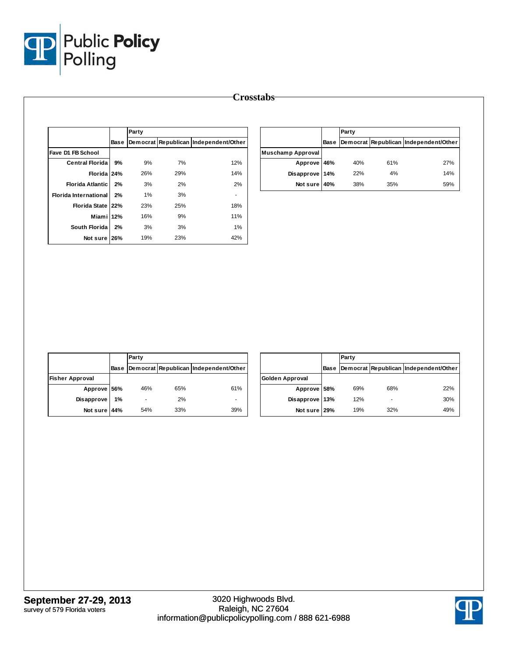

|                              |      | Party |     |                                       |  |  |  |  |
|------------------------------|------|-------|-----|---------------------------------------|--|--|--|--|
|                              | Base |       |     | Democrat Republican Independent/Other |  |  |  |  |
| Fave D1 FB School            |      |       |     |                                       |  |  |  |  |
| <b>Central Florida</b>       | 9%   | 9%    | 7%  | 12%                                   |  |  |  |  |
| Florida 24%                  |      | 26%   | 29% | 14%                                   |  |  |  |  |
| <b>Florida Atlantic</b>      | 2%   | 3%    | 2%  | 2%                                    |  |  |  |  |
| <b>Florida International</b> | 2%   | 1%    | 3%  |                                       |  |  |  |  |
| Florida State 22%            |      | 23%   | 25% | 18%                                   |  |  |  |  |
| Miami 12%                    |      | 16%   | 9%  | 11%                                   |  |  |  |  |
| South Florida                | 2%   | 3%    | 3%  | 1%                                    |  |  |  |  |
| Not sure                     | 26%  | 19%   | 23% | 42%                                   |  |  |  |  |

|                          |      | Party |     |                                       |  |  |
|--------------------------|------|-------|-----|---------------------------------------|--|--|
|                          | Base |       |     | Democrat Republican Independent/Other |  |  |
| <b>Muschamp Approval</b> |      |       |     |                                       |  |  |
| Approve 46%              |      | 40%   | 61% | 27%                                   |  |  |
| Disapprove 14%           |      | 22%   | 4%  | 14%                                   |  |  |
| Not sure 40%             |      | 38%   | 35% | 59%                                   |  |  |

|                        |      | Party |     |                                       |  |  |  |  |
|------------------------|------|-------|-----|---------------------------------------|--|--|--|--|
|                        | Base |       |     | Democrat Republican Independent/Other |  |  |  |  |
| <b>Fisher Approval</b> |      |       |     |                                       |  |  |  |  |
| Approve 56%            |      | 46%   | 65% | 61%                                   |  |  |  |  |
| <b>Disapprove</b>      | 1%   |       | 2%  |                                       |  |  |  |  |
| Not sure               | 44%  | 54%   | 33% | 39%                                   |  |  |  |  |

|                 |      | Party |     |                                       |  |  |  |  |
|-----------------|------|-------|-----|---------------------------------------|--|--|--|--|
|                 | Base |       |     | Democrat Republican Independent/Other |  |  |  |  |
| Golden Approval |      |       |     |                                       |  |  |  |  |
| Approve 58%     |      | 69%   | 68% | 22%                                   |  |  |  |  |
| Disapprove 13%  |      | 12%   |     | 30%                                   |  |  |  |  |
| Not sure 29%    |      | 19%   | 32% | 49%                                   |  |  |  |  |

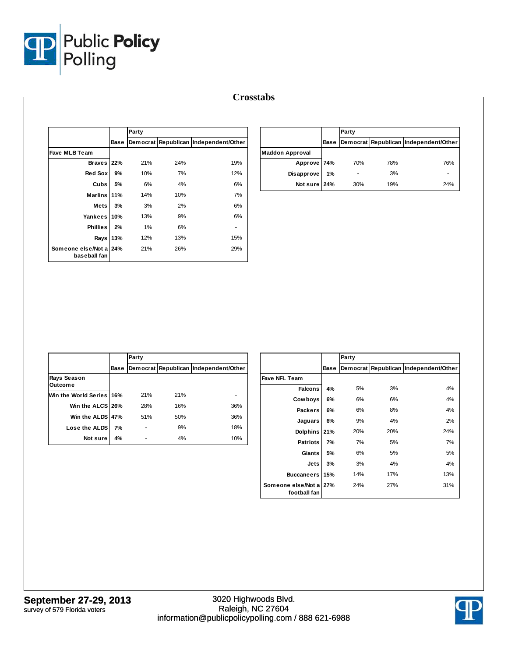

|                                    |      | Party |     |                                       |
|------------------------------------|------|-------|-----|---------------------------------------|
|                                    | Base |       |     | Democrat Republican Independent/Other |
| <b>Fave MLB Team</b>               |      |       |     |                                       |
| Braves 22%                         |      | 21%   | 24% | 19%                                   |
| Red Sox                            | 9%   | 10%   | 7%  | 12%                                   |
| Cubs                               | 5%   | 6%    | 4%  | 6%                                    |
| <b>Marlins</b>                     | 11%  | 14%   | 10% | 7%                                    |
| Mets                               | 3%   | 3%    | 2%  | 6%                                    |
| Yankees                            | 10%  | 13%   | 9%  | 6%                                    |
| <b>Phillies</b>                    | 2%   | 1%    | 6%  | ۰                                     |
| Rays                               | 13%  | 12%   | 13% | 15%                                   |
| Someone else/Not a<br>baseball fan | 24%  | 21%   | 26% | 29%                                   |

|                        |             | Party |     |                                       |  |  |  |
|------------------------|-------------|-------|-----|---------------------------------------|--|--|--|
|                        | <b>Base</b> |       |     | Democrat Republican Independent/Other |  |  |  |
| <b>Maddon Approval</b> |             |       |     |                                       |  |  |  |
| Approve 74%            |             | 70%   | 78% | 76%                                   |  |  |  |
| Disapprove             | 1%          |       | 3%  |                                       |  |  |  |
| Not sure 24%           |             | 30%   | 19% | 24%                                   |  |  |  |

|                               |             | Party |     |                                       |  |  |  |  |  |
|-------------------------------|-------------|-------|-----|---------------------------------------|--|--|--|--|--|
|                               | <b>Base</b> |       |     | Democrat Republican Independent/Other |  |  |  |  |  |
| Rays Season<br><b>Outcome</b> |             |       |     |                                       |  |  |  |  |  |
| Win the World Series 16%      |             | 21%   | 21% |                                       |  |  |  |  |  |
| Win the ALCS 26%              |             | 28%   | 16% | 36%                                   |  |  |  |  |  |
| Win the ALDS 47%              |             | 51%   | 50% | 36%                                   |  |  |  |  |  |
| Lose the ALDS                 | 7%          |       | 9%  | 18%                                   |  |  |  |  |  |
| Not sure                      | 4%          |       | 4%  | 10%                                   |  |  |  |  |  |

|                                    |             | Party    |     |                              |
|------------------------------------|-------------|----------|-----|------------------------------|
|                                    | <b>Base</b> | Democrat |     | Republican Independent/Other |
| <b>Fave NFL Team</b>               |             |          |     |                              |
| <b>Falcons</b>                     | 4%          | 5%       | 3%  | 4%                           |
| Cow boys                           | 6%          | 6%       | 6%  | 4%                           |
| <b>Packers</b>                     | 6%          | 6%       | 8%  | 4%                           |
| Jaguars                            | 6%          | 9%       | 4%  | 2%                           |
| <b>Dolphins</b>                    | 21%         | 20%      | 20% | 24%                          |
| <b>Patriots</b>                    | 7%          | 7%       | 5%  | 7%                           |
| Giants                             | 5%          | 6%       | 5%  | 5%                           |
| Jets                               | 3%          | 3%       | 4%  | 4%                           |
| <b>Buccaneers</b>                  | 15%         | 14%      | 17% | 13%                          |
| Someone else/Not a<br>football fan | 27%         | 24%      | 27% | 31%                          |

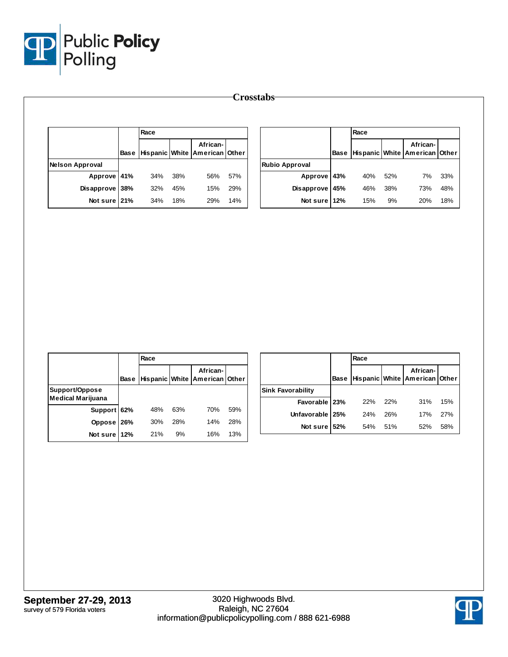

|                        |             |     |     |                                           |     | Crosstabs <sup>-</sup> |             |      |     |                                           |     |
|------------------------|-------------|-----|-----|-------------------------------------------|-----|------------------------|-------------|------|-----|-------------------------------------------|-----|
|                        | Race        |     |     |                                           |     |                        |             | Race |     |                                           |     |
|                        | <b>Base</b> |     |     | African-<br>Hispanic White American Other |     |                        | <b>Base</b> |      |     | African-<br>Hispanic White American Other |     |
| <b>Nelson Approval</b> |             |     |     |                                           |     | <b>Rubio Approval</b>  |             |      |     |                                           |     |
| Approve 41%            |             | 34% | 38% | 56%                                       | 57% | Approve 43%            |             | 40%  | 52% | 7%                                        | 33% |
| Disapprove 38%         |             | 32% | 45% | 15%                                       | 29% | Disapprove 45%         |             | 46%  | 38% | 73%                                       | 48% |
| Not sure 21%           |             | 34% | 18% | 29%                                       | 14% | Not sure 12%           |             | 15%  | 9%  | 20%                                       | 18% |

|                   | Race |     |                                                |     |                          | Race |     |                                                |     |
|-------------------|------|-----|------------------------------------------------|-----|--------------------------|------|-----|------------------------------------------------|-----|
|                   |      |     | African-<br>Base Hispanic White American Other |     |                          |      |     | African-<br>Base Hispanic White American Other |     |
| Support/Oppose    |      |     |                                                |     | <b>Sink Favorability</b> |      |     |                                                |     |
| Medical Marijuana |      |     |                                                |     | Favorable   23%          | 22%  | 22% | 31%                                            | 15% |
| Support 62%       | 48%  | 63% | 70%                                            | 59% | Unfavorable 25%          | 24%  | 26% | 17%                                            | 27% |
| Oppose 26%        | 30%  | 28% | 14%                                            | 28% | Not sure 52%             | 54%  | 51% | 52%                                            | 58% |
| Not sure 12%      | 21%  | 9%  | 16%                                            | 13% |                          |      |     |                                                |     |

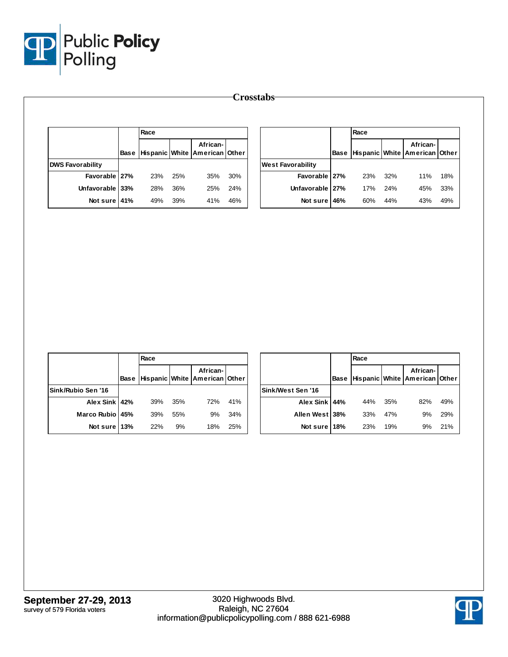

|                         |             |      |     |                                           |     | <b>Crosstabs</b>         |             |      |     |                                           |     |
|-------------------------|-------------|------|-----|-------------------------------------------|-----|--------------------------|-------------|------|-----|-------------------------------------------|-----|
|                         |             | Race |     |                                           |     |                          |             | Race |     |                                           |     |
|                         | <b>Base</b> |      |     | African-<br>Hispanic White American Other |     |                          | <b>Base</b> |      |     | African-<br>Hispanic White American Other |     |
| <b>DWS Favorability</b> |             |      |     |                                           |     | <b>West Favorability</b> |             |      |     |                                           |     |
| Favorable 27%           |             | 23%  | 25% | 35%                                       | 30% | Favorable 27%            |             | 23%  | 32% | 11%                                       | 18% |
| Unfavorable 33%         |             | 28%  | 36% | 25%                                       | 24% | Unfavorable 27%          |             | 17%  | 24% | 45%                                       | 33% |
| Not sure 41%            |             | 49%  | 39% | 41%                                       | 46% | Not sure 46%             |             | 60%  | 44% | 43%                                       | 49% |

|                    | Race |     |                                                        |     |                   | Race |     |                                                        |     |
|--------------------|------|-----|--------------------------------------------------------|-----|-------------------|------|-----|--------------------------------------------------------|-----|
|                    |      |     | African-<br>Base   Hispanic   White   American   Other |     |                   |      |     | African-<br> Base  Hispanic   White   American   Other |     |
| Sink/Rubio Sen '16 |      |     |                                                        |     | Sink/West Sen '16 |      |     |                                                        |     |
| Alex Sink 42%      | 39%  | 35% | 72%                                                    | 41% | Alex Sink 44%     | 44%  | 35% | 82%                                                    | 49% |
| Marco Rubio 45%    | 39%  | 55% | 9%                                                     | 34% | Allen West 38%    | 33%  | 47% | 9%                                                     | 29% |
| Not sure 13%       | 22%  | 9%  | 18%                                                    | 25% | Not sure 18%      | 23%  | 19% | 9%                                                     | 21% |

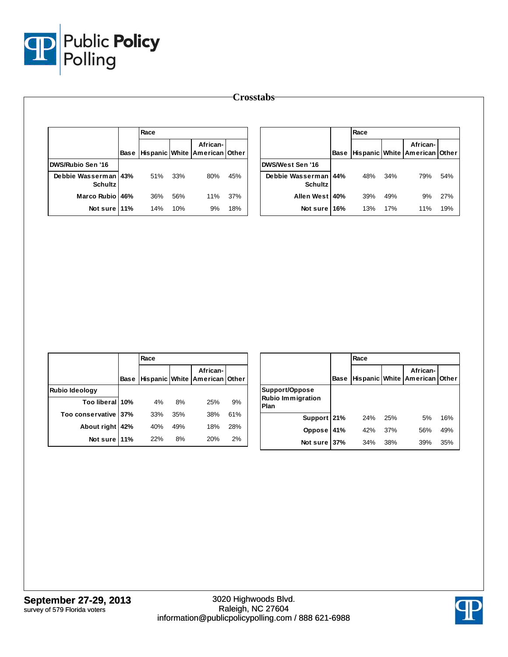

|                                        |      |     |                                                        |     | <b>Crosstabs</b>                       |      |      |     |                                           |     |
|----------------------------------------|------|-----|--------------------------------------------------------|-----|----------------------------------------|------|------|-----|-------------------------------------------|-----|
|                                        |      |     |                                                        |     |                                        |      |      |     |                                           |     |
|                                        | Race |     |                                                        |     |                                        |      | Race |     |                                           |     |
|                                        |      |     | African-<br>Base   Hispanic   White   American   Other |     |                                        | Base |      |     | African-<br>Hispanic White American Other |     |
| DWS/Rubio Sen '16                      |      |     |                                                        |     | DWS/West Sen '16                       |      |      |     |                                           |     |
| Debbie Wasserman 43%<br><b>Schultz</b> | 51%  | 33% | 80%                                                    | 45% | Debbie Wasserman 44%<br><b>Schultz</b> |      | 48%  | 34% | 79%                                       | 54% |
| Marco Rubio 46%                        | 36%  | 56% | 11%                                                    | 37% | Allen West 40%                         |      | 39%  | 49% | 9%                                        | 27% |
| Not sure 11%                           | 14%  | 10% | 9%                                                     | 18% | Not sure 16%                           |      | 13%  | 17% | 11%                                       | 19% |

|                        |      | Race |     |                                           |     |
|------------------------|------|------|-----|-------------------------------------------|-----|
|                        | Base |      |     | African-<br>Hispanic White American Other |     |
| <b>Rubio Ideology</b>  |      |      |     |                                           |     |
| Too liberal 10%        |      | 4%   | 8%  | 25%                                       | 9%  |
| Too conservative   37% |      | 33%  | 35% | 38%                                       | 61% |
| About right            | 42%  | 40%  | 49% | 18%                                       | 28% |
| Not sure 11%           |      | 22%  | 8%  | 20%                                       | 2%  |

|                                                    |             | Race |     |                                           |     |
|----------------------------------------------------|-------------|------|-----|-------------------------------------------|-----|
|                                                    | <b>Base</b> |      |     | African-<br>Hispanic White American Other |     |
| Support/Oppose<br><b>Rubio Immigration</b><br>Plan |             |      |     |                                           |     |
| Support 21%                                        |             | 24%  | 25% | 5%                                        | 16% |
| Oppose                                             | 41%         | 42%  | 37% | 56%                                       | 49% |
| Not sure                                           | 37%         | 34%  | 38% | 39%                                       | 35% |

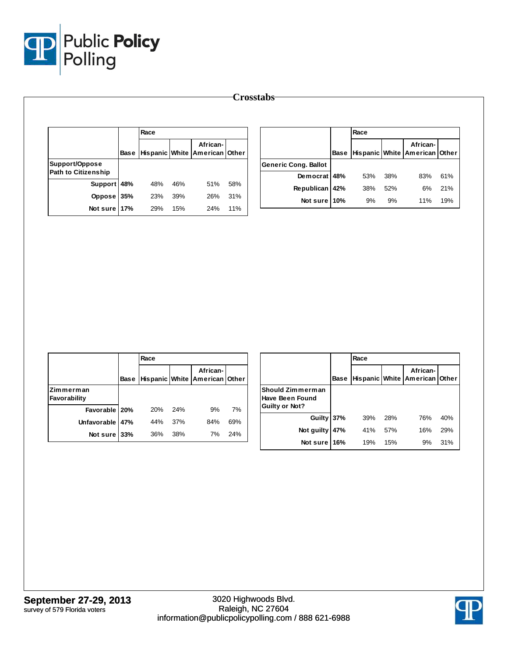

|                            |             | Race |     |                                           |     |                             |             | Race |     |                                           |     |  |  |
|----------------------------|-------------|------|-----|-------------------------------------------|-----|-----------------------------|-------------|------|-----|-------------------------------------------|-----|--|--|
|                            | <b>Base</b> |      |     | African-<br>Hispanic White American Other |     |                             | <b>Base</b> |      |     | African-<br>Hispanic White American Other |     |  |  |
| Support/Oppose             |             |      |     |                                           |     | <b>Generic Cong. Ballot</b> |             |      |     |                                           |     |  |  |
| <b>Path to Citizenship</b> |             |      |     |                                           |     | Democrat 48%                |             | 53%  | 38% | 83%                                       | 61% |  |  |
| Support 48%                |             | 48%  | 46% | 51%                                       | 58% | Republican 42%              |             | 38%  | 52% | 6%                                        | 21% |  |  |
| Oppose 35%                 |             | 23%  | 39% | 26%                                       | 31% | Not sure                    | 10%         | 9%   | 9%  | 11%                                       | 19% |  |  |
| Not sure 17%               |             | 29%  | 15% | 24%                                       | 11% |                             |             |      |     |                                           |     |  |  |

|                           |             | Race |     |                                           |     |
|---------------------------|-------------|------|-----|-------------------------------------------|-----|
|                           | <b>Base</b> |      |     | African-<br>Hispanic White American Other |     |
| Zimmerman<br>Favorability |             |      |     |                                           |     |
| Favorable 20%             |             | 20%  | 24% | 9%                                        | 7%  |
| Unfavorable               | 47%         | 44%  | 37% | 84%                                       | 69% |
| Not sure 33%              |             | 36%  | 38% | 7%                                        | 24% |

|                                                              |             | Race |     |                                           |     |
|--------------------------------------------------------------|-------------|------|-----|-------------------------------------------|-----|
|                                                              | <b>Base</b> |      |     | African-<br>Hispanic White American Other |     |
| Should Zimmerman<br>Have Been Found<br><b>Guilty or Not?</b> |             |      |     |                                           |     |
| <b>Guilty</b>                                                | 37%         | 39%  | 28% | 76%                                       | 40% |
| Not guilty                                                   | 47%         | 41%  | 57% | 16%                                       | 29% |
| Not sure                                                     | 16%         | 19%  | 15% | 9%                                        | 31% |

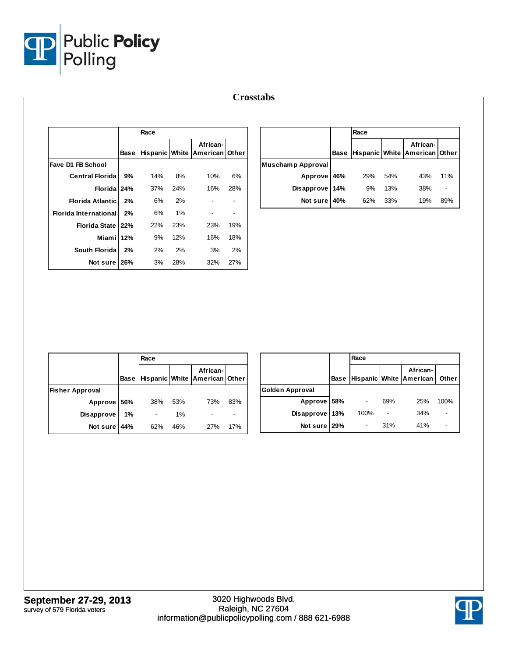

|                              |    |      |     |                                                |     | <b>Crosstabs</b>  |     |      |     |                                                |     |
|------------------------------|----|------|-----|------------------------------------------------|-----|-------------------|-----|------|-----|------------------------------------------------|-----|
|                              |    |      |     |                                                |     |                   |     |      |     |                                                |     |
|                              |    | Race |     |                                                |     |                   |     | Race |     |                                                |     |
|                              |    |      |     | African-<br>Base Hispanic White American Other |     |                   |     |      |     | African-<br>Base Hispanic White American Other |     |
| <b>Fave D1 FB School</b>     |    |      |     |                                                |     | Muschamp Approval |     |      |     |                                                |     |
| <b>Central Florida</b>       | 9% | 14%  | 8%  | 10%                                            | 6%  | Approve 46%       |     | 29%  | 54% | 43%                                            | 11% |
| Florida 24%                  |    | 37%  | 24% | 16%                                            | 28% | <b>Disapprove</b> | 14% | 9%   | 13% | 38%                                            |     |
| <b>Florida Atlantic</b>      | 2% | 6%   | 2%  | $\overline{\phantom{a}}$                       |     | Not sure          | 40% | 62%  | 33% | 19%                                            | 89% |
| <b>Florida International</b> | 2% | 6%   | 1%  | $\overline{\phantom{a}}$                       |     |                   |     |      |     |                                                |     |
| Florida State 22%            |    | 22%  | 23% | 23%                                            | 19% |                   |     |      |     |                                                |     |
| Miami 12%                    |    | 9%   | 12% | 16%                                            | 18% |                   |     |      |     |                                                |     |
| South Florida                | 2% | 2%   | 2%  | 3%                                             | 2%  |                   |     |      |     |                                                |     |
| Not sure 26%                 |    | 3%   | 28% | 32%                                            | 27% |                   |     |      |     |                                                |     |

|                        |    | Race |     |                                                |                          |                 | Race |                          |                                          |       |
|------------------------|----|------|-----|------------------------------------------------|--------------------------|-----------------|------|--------------------------|------------------------------------------|-------|
|                        |    |      |     | African-<br>Base Hispanic White American Other |                          |                 |      |                          | African-<br>Base Hispanic White American | Other |
| <b>Fisher Approval</b> |    |      |     |                                                |                          | Golden Approval |      |                          |                                          |       |
| Approve 56%            |    | 38%  | 53% | 73%                                            | 83%                      | Approve 58%     | ۰    | 69%                      | 25%                                      | 100%  |
| <b>Disapprove</b>      | 1% | ٠    | 1%  | $\overline{\phantom{a}}$                       | $\overline{\phantom{a}}$ | Disapprove 13%  | 100% | $\overline{\phantom{a}}$ | 34%                                      |       |
| Notsure 44%            |    | 62%  | 46% | 27%                                            | 17%                      | Not sure 29%    | ٠    | 31%                      | 41%                                      |       |

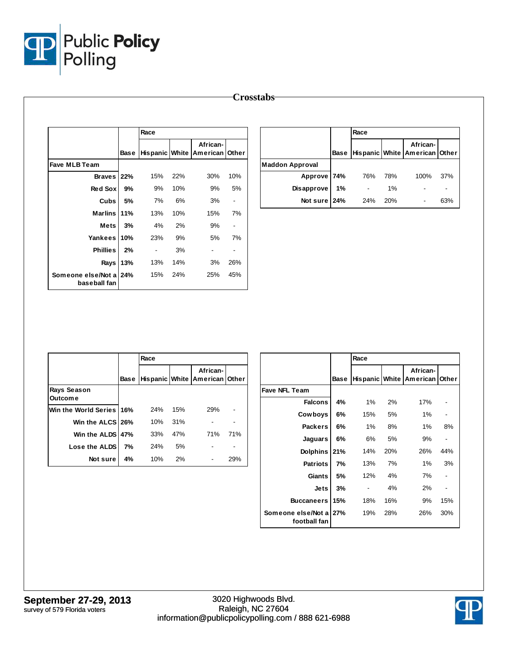

|                                        |             |                          |     |                      |       | <b>Crosstabs</b> |
|----------------------------------------|-------------|--------------------------|-----|----------------------|-------|------------------|
|                                        |             |                          |     |                      |       |                  |
|                                        |             | Race                     |     |                      |       |                  |
|                                        | <b>Base</b> | Hispanic White           |     | African-<br>American | Other |                  |
| <b>Fave MLB Team</b>                   |             |                          |     |                      |       | <b>Maddon A</b>  |
| Braves 22%                             |             | 15%                      | 22% | 30%                  | 10%   |                  |
| Red Sox                                | 9%          | 9%                       | 10% | 9%                   | 5%    |                  |
| Cubs                                   | 5%          | 7%                       | 6%  | 3%                   | ۰     |                  |
| <b>Marlins</b>                         | 11%         | 13%                      | 10% | 15%                  | 7%    |                  |
| <b>Mets</b>                            | 3%          | 4%                       | 2%  | 9%                   |       |                  |
| Yankees                                | 10%         | 23%                      | 9%  | 5%                   | 7%    |                  |
| <b>Phillies</b>                        | 2%          | $\overline{\phantom{0}}$ | 3%  |                      |       |                  |
| Rays                                   | 13%         | 13%                      | 14% | 3%                   | 26%   |                  |
| Someone else/Not a 24%<br>baseball fan |             | 15%                      | 24% | 25%                  | 45%   |                  |

|                        |             | Race                                      |     |      |     |  |
|------------------------|-------------|-------------------------------------------|-----|------|-----|--|
|                        | <b>Base</b> | African-<br>Hispanic White American Other |     |      |     |  |
| <b>Maddon Approval</b> |             |                                           |     |      |     |  |
| Approve 74%            |             | 76%                                       | 78% | 100% | 37% |  |
| <b>Disapprove</b>      | 1%          |                                           | 1%  |      |     |  |
| Not sure 24%           |             | 24%                                       | 20% |      | 63% |  |

|                                      |      | Race |     |                                                 |     |  |
|--------------------------------------|------|------|-----|-------------------------------------------------|-----|--|
|                                      | Base |      |     | African-<br>Hispanic   White   American   Other |     |  |
| <b>Rays Season</b><br><b>Outcome</b> |      |      |     |                                                 |     |  |
| Win the World Series 16%             |      | 24%  | 15% | 29%                                             |     |  |
| Win the ALCS 26%                     |      | 10%  | 31% |                                                 |     |  |
| Win the ALDS 47%                     |      | 33%  | 47% | 71%                                             | 71% |  |
| Lose the ALDS                        | 7%   | 24%  | 5%  |                                                 |     |  |
| Not sure                             | 4%   | 10%  | 2%  |                                                 | 29% |  |

|                                    |             | Race           |     |                      |                          |  |
|------------------------------------|-------------|----------------|-----|----------------------|--------------------------|--|
|                                    | <b>Base</b> | Hispanic White |     | African-<br>American | Other                    |  |
| <b>Fave NFL Team</b>               |             |                |     |                      |                          |  |
| <b>Falcons</b>                     | 4%          | 1%             | 2%  | 17%                  |                          |  |
| Cowboys                            | 6%          | 15%            | 5%  | 1%                   |                          |  |
| <b>Packers</b>                     | 6%          | 1%             | 8%  | 1%                   | 8%                       |  |
| Jaguars                            | 6%          | 6%             | 5%  | 9%                   | $\overline{\phantom{0}}$ |  |
| <b>Dolphins</b>                    | 21%         | 14%            | 20% | 26%                  | 44%                      |  |
| <b>Patriots</b>                    | 7%          | 13%            | 7%  | 1%                   | 3%                       |  |
| Giants                             | 5%          | 12%            | 4%  | 7%                   |                          |  |
| <b>Jets</b>                        | 3%          |                | 4%  | 2%                   |                          |  |
| <b>Buccaneers</b>                  | 15%         | 18%            | 16% | 9%                   | 15%                      |  |
| Someone else/Not a<br>football fan | 27%         | 19%            | 28% | 26%                  | 30%                      |  |

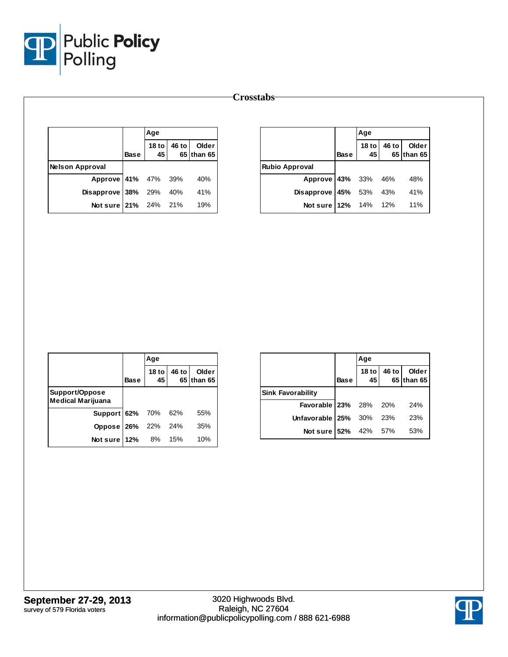

|                        |      | Aqe                    |       |                     |
|------------------------|------|------------------------|-------|---------------------|
|                        | Base | 18 <sub>to</sub><br>45 | 46 to | Older<br>65 than 65 |
| <b>Nelson Approval</b> |      |                        |       |                     |
| Approve 41% 47% 39%    |      |                        |       | 40%                 |
| Disapprove 38% 29% 40% |      |                        |       | 41%                 |
| Not sure 21% 24% 21%   |      |                        |       | 19%                 |

|                        |             | Age                   |       |                     |
|------------------------|-------------|-----------------------|-------|---------------------|
|                        | <b>Base</b> | $18$ to $\vert$<br>45 | 46 to | Older<br>65 than 65 |
| <b>Rubio Approval</b>  |             |                       |       |                     |
| Approve 43% 33% 46%    |             |                       |       | 48%                 |
| Disapprove 45% 53% 43% |             |                       |       | 41%                 |
| Not sure 12% 14% 12%   |             |                       |       | 11%                 |

|                                            |      | Age                    |       |                     |
|--------------------------------------------|------|------------------------|-------|---------------------|
|                                            | Base | 18 <sub>to</sub><br>45 | 46 to | Older<br>65 than 65 |
| Support/Oppose<br><b>Medical Marijuana</b> |      |                        |       |                     |
| Support 62% 70% 62%                        |      |                        |       | 55%                 |
| Oppose 26% 22% 24%                         |      |                        |       | 35%                 |
| Not sure $12%$                             |      | 8%                     | 15%   | 10%                 |

|                              |             | Age                    |       |                     |
|------------------------------|-------------|------------------------|-------|---------------------|
|                              | <b>Base</b> | 18 <sub>to</sub><br>45 | 46 to | Older<br>65 than 65 |
| <b>Sink Favorability</b>     |             |                        |       |                     |
| <b>Favorable 23%</b> 28% 20% |             |                        |       | 24%                 |
| Unfavorable   25% 30%        |             |                        | 23%   | 23%                 |
| Not sure   52% 42% 57%       |             |                        |       | 53%                 |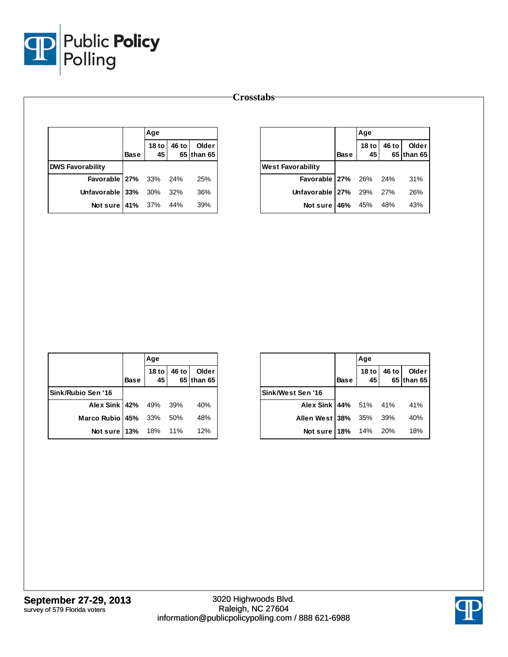

|                              |             | Age                 |       |                     |
|------------------------------|-------------|---------------------|-------|---------------------|
|                              | <b>Base</b> | 18 to $\vert$<br>45 | 46 to | Older<br>65 than 65 |
| <b>DWS Favorability</b>      |             |                     |       |                     |
| <b>Favorable 27%</b> 33% 24% |             |                     |       | 25%                 |
| Unfavorable $33\%$ 30% 32%   |             |                     |       | 36%                 |
| <b>Not sure 41%</b> 37% 44%  |             |                     |       | 39%                 |

|                          |             | Age         |       |                     |
|--------------------------|-------------|-------------|-------|---------------------|
|                          | <b>Base</b> | 18 to<br>45 | 46 to | Older<br>65 than 65 |
| <b>West Favorability</b> |             |             |       |                     |
| Favorable 27% 26% 24%    |             |             |       | 31%                 |
| Unfavorable 27% 29% 27%  |             |             |       | 26%                 |
| Not sure   46% 45% 48%   |             |             |       | 43%                 |

|                         |             | Age                    |       |                     |
|-------------------------|-------------|------------------------|-------|---------------------|
|                         | <b>Base</b> | 18 <sub>to</sub><br>45 | 46 to | Older<br>65 than 65 |
| Sink/Rubio Sen '16      |             |                        |       |                     |
| Alex Sink   42% 49% 39% |             |                        |       | 40%                 |
| Marco Rubio 45% 33% 50% |             |                        |       | 48%                 |
| Not sure 13% 18% 11%    |             |                        |       | 12%                 |

|                        |             | Age         |       |                     |
|------------------------|-------------|-------------|-------|---------------------|
|                        | <b>Base</b> | 18 to<br>45 | 46 to | Older<br>65 than 65 |
| Sink/West Sen '16      |             |             |       |                     |
| Alex Sink 44% 51% 41%  |             |             |       | 41%                 |
| Allen West 38% 35% 39% |             |             |       | 40%                 |
| Not sure 18% 14% 20%   |             |             |       | 18%                 |

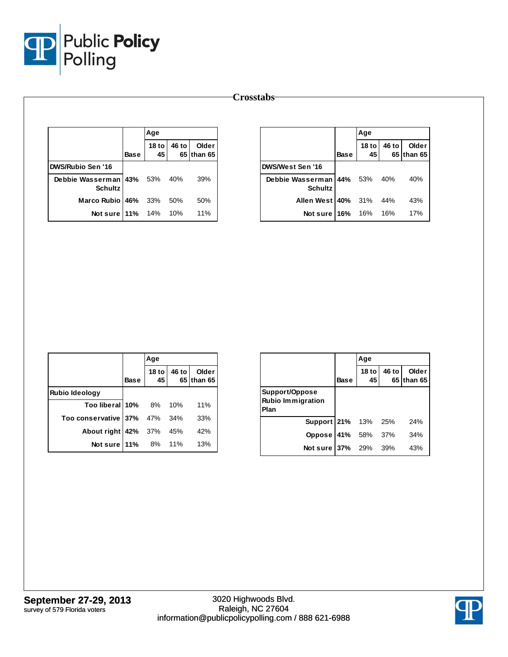

| <b>Crosstabs</b> |
|------------------|
|------------------|

|                                            |             | Age                    |       |                     |
|--------------------------------------------|-------------|------------------------|-------|---------------------|
|                                            | <b>Base</b> | 18 <sub>to</sub><br>45 | 46 to | Older<br>65 than 65 |
| <b>DWS/Rubio Sen '16</b>                   |             |                        |       |                     |
| Debbie Wasserman 43% 53%<br><b>Schultz</b> |             |                        | 40%   | 39%                 |
| Marco Rubio 46%                            |             | - 33%                  | 50%   | 50%                 |
| Not sure   11% 14%                         |             |                        | 10%   | 11%                 |

|                                        |             | Age         |       |                     |
|----------------------------------------|-------------|-------------|-------|---------------------|
|                                        | <b>Base</b> | 18 to<br>45 | 46 to | Older<br>65 than 65 |
| DWS/West Sen '16                       |             |             |       |                     |
| Debbie Wasserman 44%<br><b>Schultz</b> |             | 53%         | 40%   | 40%                 |
| Allen West 40%                         |             | 31%         | 44%   | 43%                 |
| Not sure                               | 16%         | 16%         | 16%   | 17%                 |

|                          |             | Age         |       |                     |
|--------------------------|-------------|-------------|-------|---------------------|
|                          | <b>Base</b> | 18 to<br>45 | 46 to | Older<br>65 than 65 |
| <b>Rubio Ideology</b>    |             |             |       |                     |
| Too liberal 10% 8%       |             |             | 10%   | 11%                 |
| Too conservative 37% 47% |             |             | 34%   | 33%                 |
| About right 42% 37%      |             |             | 45%   | 42%                 |
| Notsure 11%              |             | 8%          | 11%   | 13%                 |

|                                                    |             | Age                    |       |                     |
|----------------------------------------------------|-------------|------------------------|-------|---------------------|
|                                                    | <b>Base</b> | 18 <sub>to</sub><br>45 | 46 to | Older<br>65 than 65 |
| Support/Oppose<br><b>Rubio Immigration</b><br>Plan |             |                        |       |                     |
| <b>Support 21%</b> 13%                             |             |                        | 25%   | 24%                 |
| Oppose                                             | 41% 58%     |                        | 37%   | 34%                 |
| Not sure 37% 29%                                   |             |                        | 39%   | 43%                 |

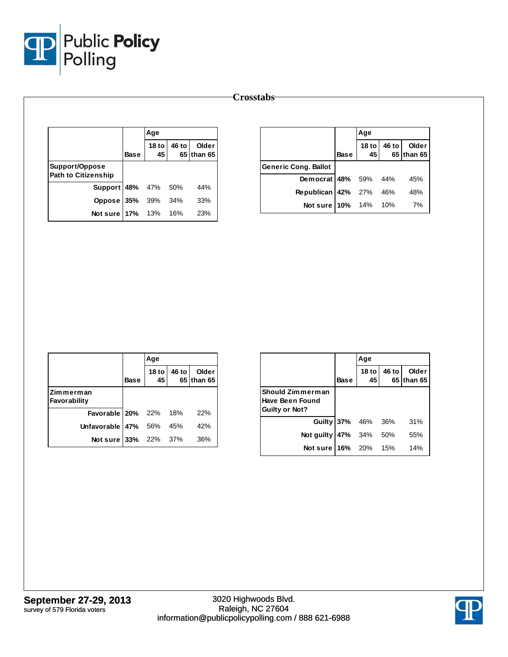

|                                              |             | Age                    |       |                     |
|----------------------------------------------|-------------|------------------------|-------|---------------------|
|                                              | <b>Base</b> | 18 <sub>to</sub><br>45 | 46 to | Older<br>65 than 65 |
| Support/Oppose<br><b>Path to Citizenship</b> |             |                        |       |                     |
| Support 48% 47% 50%                          |             |                        |       | 44%                 |
| Oppose 35% 39%                               |             |                        | 34%   | 33%                 |
| Not sure 17% 13% 16%                         |             |                        |       | 23%                 |

|                             |             | Age |                    |                     |
|-----------------------------|-------------|-----|--------------------|---------------------|
|                             | <b>Base</b> | 45  | 18 to $ 46$ to $ $ | Older<br>65 than 65 |
| <b>Generic Cong. Ballot</b> |             |     |                    |                     |
| Democrat 48% 59% 44%        |             |     |                    | 45%                 |
| Republican 42% 27% 46%      |             |     |                    | 48%                 |
| Not sure 10% 14% 10%        |             |     |                    | 7%                  |

|                              |             | Age                    |       |                     |
|------------------------------|-------------|------------------------|-------|---------------------|
|                              | <b>Base</b> | 18 <sub>to</sub><br>45 | 46 to | Older<br>65 than 65 |
| Zimmerman<br>Favorability    |             |                        |       |                     |
| <b>Favorable 20%</b> 22% 18% |             |                        |       | 22%                 |
| Unfavorable $47\%$ 56%       |             |                        | 45%   | 42%                 |
| Not sure 33% 22% 37%         |             |                        |       | 36%                 |

|                                                              |             | Age                    |       |                     |
|--------------------------------------------------------------|-------------|------------------------|-------|---------------------|
|                                                              | <b>Base</b> | 18 <sub>to</sub><br>45 | 46 to | Older<br>65 than 65 |
| Should Zimmerman<br>Have Been Found<br><b>Guilty or Not?</b> |             |                        |       |                     |
| Guilty 37% 46%                                               |             |                        | 36%   | 31%                 |
| Not guilty                                                   | 47% 34%     |                        | 50%   | 55%                 |
| Not sure 16%                                                 |             | 20%                    | 15%   | 14%                 |

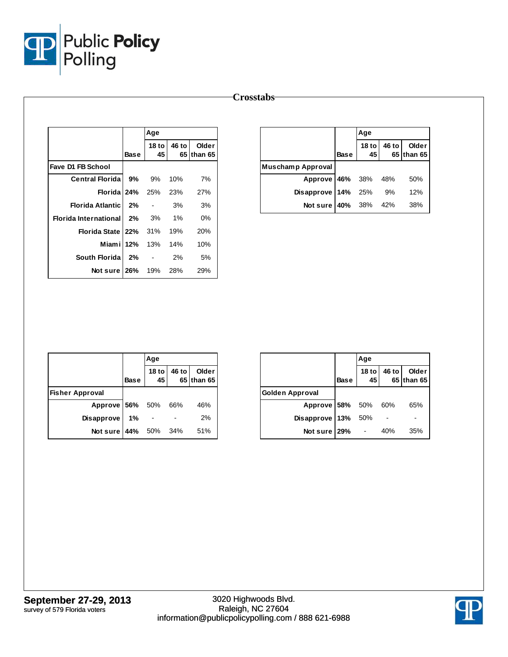

|                              |             | Age                      |       |                     |
|------------------------------|-------------|--------------------------|-------|---------------------|
|                              | <b>Base</b> | 18 to<br>45              | 46 to | Older<br>65 than 65 |
| Fave D1 FB School            |             |                          |       |                     |
| <b>Central Florida</b>       | 9%          | 9%                       | 10%   | 7%                  |
| <b>Florida</b>               | 24%         | 25%                      | 23%   | 27%                 |
| <b>Florida Atlantic</b>      | 2%          | $\blacksquare$           | 3%    | 3%                  |
| <b>Florida International</b> | 2%          | 3%                       | 1%    | $0\%$               |
| <b>Florida State</b>         | 22%         | 31%                      | 19%   | 20%                 |
| Miamil                       | 12%         | 13%                      | 14%   | 10%                 |
| South Florida                | 2%          | $\overline{\phantom{0}}$ | 2%    | 5%                  |
| Not sure                     | 26%         | 19%                      | 28%   | 29%                 |

|                          |             | Age |  |                                    |
|--------------------------|-------------|-----|--|------------------------------------|
|                          | <b>Base</b> |     |  | 18 to 46 to Older<br>45 65 than 65 |
| <b>Muschamp Approval</b> |             |     |  |                                    |
| Approve 46% 38% 48% 50%  |             |     |  |                                    |
| Disapprove $14\%$ 25% 9% |             |     |  | 12%                                |
| Not sure $40\%$ 38% 42%  |             |     |  | 38%                                |

|                        |             | Age                    |       |                     |  |
|------------------------|-------------|------------------------|-------|---------------------|--|
|                        | <b>Base</b> | 18 <sub>to</sub><br>45 | 46 to | Older<br>65 than 65 |  |
| <b>Fisher Approval</b> |             |                        |       |                     |  |
| Approve 56% 50% 66%    |             |                        |       | 46%                 |  |
| <b>Disapprove</b>      | 1%          |                        |       | 2%                  |  |
| Notsure 44%            |             | 50% 34%                |       | 51%                 |  |

|                        |             | Age         |       |                     |
|------------------------|-------------|-------------|-------|---------------------|
|                        | <b>Base</b> | 18 to<br>45 | 46 to | Older<br>65 than 65 |
| <b>Golden Approval</b> |             |             |       |                     |
| Approve 58% 50%        |             |             | 60%   | 65%                 |
| Disapprove             | 13%         | 50%         |       |                     |
| Not sure 29%           |             |             | 40%   | 35%                 |